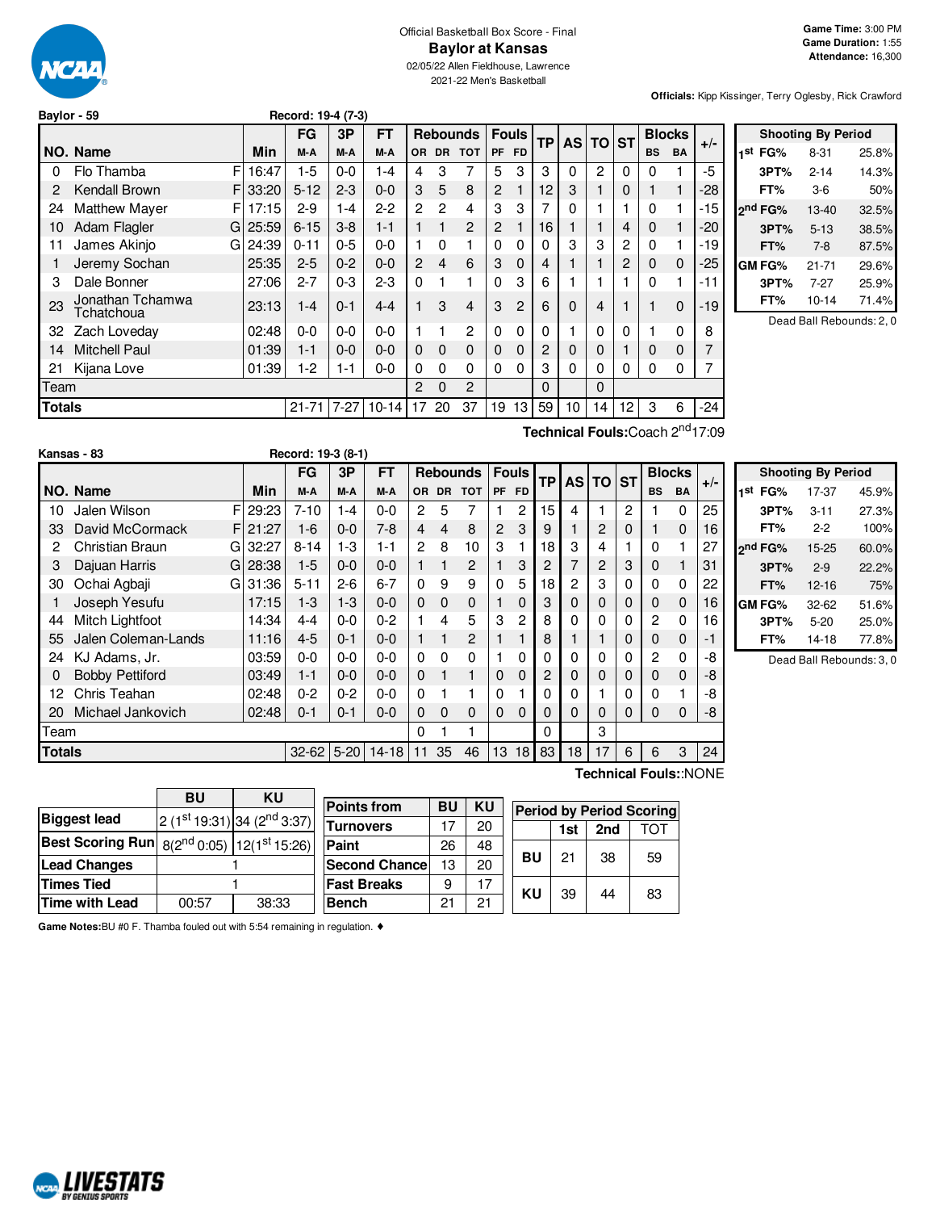

# Official Basketball Box Score - Final **Baylor at Kansas**

02/05/22 Allen Fieldhouse, Lawrence 2021-22 Men's Basketball

**Officials:** Kipp Kissinger, Terry Oglesby, Rick Crawford

| Baylor - 59 | Record: 19-4 (7-3) |
|-------------|--------------------|
|             |                    |

|               |                                              |       | FG        | 3P      | FT           |                | <b>Rebounds</b> |                |                |                |                | <b>Fouls</b> |                | <b>TP</b><br>AS TO ST |              |           |       | <b>Blocks</b> | $+/-$ |
|---------------|----------------------------------------------|-------|-----------|---------|--------------|----------------|-----------------|----------------|----------------|----------------|----------------|--------------|----------------|-----------------------|--------------|-----------|-------|---------------|-------|
|               | NO. Name                                     | Min   | M-A       | M-A     | M-A          | <b>OR</b>      | <b>DR</b>       | <b>TOT</b>     | PF             | <b>FD</b>      |                |              |                |                       | <b>BS</b>    | <b>BA</b> |       |               |       |
| 0             | F<br>Flo Thamba                              | 16:47 | $1 - 5$   | $0-0$   | $1 - 4$      | 4              | 3               | 7              | 5              | 3              | 3              | 0            | $\overline{2}$ | $\Omega$              | 0            |           | $-5$  |               |       |
| 2             | Kendall Brown<br>FI                          | 33:20 | $5 - 12$  | $2 - 3$ | $0 - 0$      | 3              | 5               | 8              | $\overline{2}$ |                | 12             | 3            | 1              | $\Omega$              | 1            |           | $-28$ |               |       |
| 24            | <b>Matthew Mayer</b><br>FI                   | 17:15 | $2 - 9$   | $1 - 4$ | $2 - 2$      | $\overline{2}$ | 2               | 4              | 3              | 3              | 7              | 0            |                |                       | 0            |           | -15   |               |       |
| 10            | Adam Flagler<br>GI                           | 25:59 | $6 - 15$  | $3 - 8$ | $1 - 1$      |                |                 | 2              | $\overline{2}$ |                | 16             |              | 1              | 4                     | 0            |           | $-20$ |               |       |
| 11            | James Akinjo<br>GI                           | 24:39 | $0 - 11$  | $0 - 5$ | $0 - 0$      |                | 0               |                | $\Omega$       | $\Omega$       | $\Omega$       | 3            | 3              | $\overline{c}$        | 0            |           | $-19$ |               |       |
|               | Jeremy Sochan                                | 25:35 | $2 - 5$   | $0 - 2$ | $0 - 0$      | $\overline{2}$ | 4               | 6              | 3              | $\mathbf 0$    | 4              |              |                | 2                     | $\mathbf{0}$ | 0         | -25   |               |       |
| 3             | Dale Bonner                                  | 27:06 | $2 - 7$   | $0 - 3$ | $2 - 3$      | 0              |                 | 1              | $\Omega$       | 3              | 6              |              |                |                       | 0            |           | $-11$ |               |       |
| 23            | Jonathan Tchamwa<br>Tchatchoua               | 23:13 | $1 - 4$   | $0 - 1$ | $4 - 4$      |                | 3               | 4              | 3              | $\overline{2}$ | 6              | $\Omega$     | 4              |                       |              | 0         | -19   |               |       |
| 32            | Zach Loveday                                 | 02:48 | $0-0$     | $0 - 0$ | $0 - 0$      |                |                 | $\overline{2}$ | $\Omega$       | $\Omega$       | 0              |              | $\mathbf 0$    | $\Omega$              |              | 0         | 8     |               |       |
| 14            | <b>Mitchell Paul</b>                         | 01:39 | $1 - 1$   | $0-0$   | $0 - 0$      | $\Omega$       | $\mathbf 0$     | $\mathbf 0$    | $\mathbf 0$    | $\mathbf 0$    | $\overline{c}$ | 0            | 0              | 1                     | 0            | 0         | 7     |               |       |
| 21            | Kijana Love                                  | 01:39 | $1-2$     | $1 - 1$ | $0 - 0$      | 0              | $\Omega$        | $\Omega$       | $\Omega$       | $\Omega$       | 3              | 0            | 0              | $\Omega$              | $\Omega$     | 0         | 7     |               |       |
| Team          |                                              |       |           |         |              | $\overline{2}$ | $\Omega$        | 2              |                |                | $\Omega$       |              | $\Omega$       |                       |              |           |       |               |       |
| <b>Totals</b> |                                              |       | $21 - 71$ |         | $7-27$ 10-14 | 17             | 20              | 37             | 19             | 13             | 59             | 10           | 14             | 12                    | 3            | 6         | $-24$ |               |       |
|               | Technical Fouls: Coach 2 <sup>nd</sup> 17:09 |       |           |         |              |                |                 |                |                |                |                |              |                |                       |              |           |       |               |       |

**Shooting By Period 1 st FG%** 8-31 25.8% **3PT%** 2-14 14.3% **FT%** 3-6 50% **2 nd FG%** 13-40 32.5% **3PT%** 5-13 38.5% **FT%** 7-8 87.5% **GM FG%** 21-71 29.6% **3PT%** 7-27 25.9% **FT%** 10-14 71.4% Dead Ball Rebounds: 2, 0

|               | Kansas - 83            |    |       | Record: 19-3 (8-1) |         |           |                |           |                         |                |           |           |    |       |             |           |                       |       |                          |
|---------------|------------------------|----|-------|--------------------|---------|-----------|----------------|-----------|-------------------------|----------------|-----------|-----------|----|-------|-------------|-----------|-----------------------|-------|--------------------------|
|               |                        |    |       | FG                 | 3P      | FT        |                |           | <b>Rebounds   Fouls</b> |                |           | <b>TP</b> |    | AS TO | <b>ST</b>   |           | <b>Blocks</b>         |       | Sho                      |
|               | NO. Name               |    | Min   | M-A                | M-A     | M-A       | OR.            | <b>DR</b> | <b>TOT</b>              | <b>PF</b>      | <b>FD</b> |           |    |       |             | <b>BS</b> | <b>BA</b>             | $+/-$ | FG<br>⊣st                |
| 10            | Jalen Wilson           | FI | 29:23 | $7 - 10$           | 1-4     | $0 - 0$   | $\overline{2}$ | 5         |                         |                | 2         | 15        | 4  |       | 2           |           | 0                     | 25    | 3PT                      |
| 33            | David McCormack        | FI | 21:27 | $1 - 6$            | $0-0$   | $7-8$     | 4              | 4         | 8                       | $\overline{2}$ | 3         | 9         |    | 2     | $\mathbf 0$ |           | 0                     | 16    | FT <sub>2</sub>          |
|               | Christian Braun        | GI | 32:27 | $8 - 14$           | $1-3$   | $1 - 1$   | $\overline{2}$ | 8         | 10                      | 3              |           | 18        | 3  | 4     |             | 0         |                       | 27    | ond FG <sup>o</sup>      |
| 3             | Dajuan Harris          | GI | 28:38 | $1-5$              | $0-0$   | $0 - 0$   |                |           | 2                       |                | 3         | 2         | 7  | 2     | 3           | 0         |                       | 31    | 3PT                      |
| 30            | Ochai Agbaji           | GI | 31:36 | $5 - 11$           | $2-6$   | $6 - 7$   | $\Omega$       | 9         | 9                       | 0              | 5         | 18        | 2  | 3     | 0           | 0         | $\Omega$              | 22    | FT <sub>2</sub>          |
|               | Joseph Yesufu          |    | 17:15 | $1-3$              | $1-3$   | $0-0$     | $\Omega$       | $\Omega$  | $\mathbf{0}$            |                | 0         | 3         | 0  |       | 0           | 0         | 0                     | 16    | <b>GM FG<sup>o</sup></b> |
| 44            | Mitch Lightfoot        |    | 14:34 | 4-4                | $0 - 0$ | $0 - 2$   |                | 4         | 5                       | 3              | 2         | 8         |    |       | 0           | 2         | 0                     | 16    | 3PT                      |
| 55            | Jalen Coleman-Lands    |    | 11:16 | $4 - 5$            | $0 - 1$ | $0-0$     |                |           | 2                       |                |           | 8         |    |       | 0           | 0         | 0                     | -1    | FT <sub>%</sub>          |
| 24            | KJ Adams, Jr.          |    | 03:59 | $0 - 0$            | $0 - 0$ | $0 - 0$   | $\Omega$       | 0         | 0                       |                | 0         | 0         | 0  | 0     | 0           | 2         | 0                     | -8    | De                       |
| 0             | <b>Bobby Pettiford</b> |    | 03:49 | $1 - 1$            | $0 - 0$ | $0 - 0$   | $\mathbf{0}$   |           |                         | $\mathbf 0$    | 0         | 2         | 0  | 0     | $\mathbf 0$ | 0         | 0                     | -8    |                          |
| 12            | Chris Teahan           |    | 02:48 | $0 - 2$            | $0 - 2$ | $0 - 0$   | $\Omega$       |           |                         | 0              |           | 0         | 0  |       | 0           | 0         |                       | -8    |                          |
| 20            | Michael Jankovich      |    | 02:48 | $0 - 1$            | $0 - 1$ | $0 - 0$   | 0              | $\Omega$  | $\mathbf 0$             | $\mathbf 0$    | $\Omega$  | $\Omega$  | 0  | 0     | 0           | 0         | 0                     | -8    |                          |
| Team          |                        |    |       |                    |         |           | 0              |           |                         |                |           | 0         |    | 3     |             |           |                       |       |                          |
| <b>Totals</b> |                        |    |       | $32 - 62$ 5-20     |         | $14 - 18$ | 11             | 35        | 46                      | 13             | 18        | 83        | 18 | 17    | 6           | 6         | 3                     | 24    |                          |
|               |                        |    |       |                    |         |           |                |           |                         |                |           |           |    |       |             |           | Technical Fouls::NONE |       |                          |

**Second Chance** 13 20 **Fast Breaks** 9 17 **Bench** 21 21

|     |               | <b>Shooting By Period</b> |       |
|-----|---------------|---------------------------|-------|
| 1st | FG%           | 17-37                     | 45.9% |
|     | 3PT%          | $3 - 11$                  | 27.3% |
|     | FT%           | $2 - 2$                   | 100%  |
|     | 2nd FG%       | 15-25                     | 60.0% |
|     | 3PT%          | $2 - 9$                   | 22.2% |
|     | FT%           | $12 - 16$                 | 75%   |
|     | <b>GM FG%</b> | $32 - 62$                 | 51.6% |
|     | 3PT%          | $5 - 20$                  | 25.0% |
|     | FT%           | 14-18                     | 77.8% |

ad Ball Rebounds: 3, 0

**Points from BU KU Turnovers** | 17 | 20 **Paint** 26 48 **Period by Period Scoring 1st 2nd** TOT

|    | 1st | 2nd | TOT |
|----|-----|-----|-----|
| BU | 21  | 38  | 59  |
| KU | 39  | 44  | 83  |

**Game Notes:**BU #0 F. Thamba fouled out with 5:54 remaining in regulation. ♦

 $8(2^{nd} 0:05)$ 

**BU KU**

<sup>st</sup> 19:31) 34 (2<sup>nd</sup> 3:37)

 $12(1<sup>st</sup> 15:26)$ 



**Biggest** lead

**Best Scoring Run** 

**Lead Changes** 1 **Times Tied** 1

**Time with Lead** 00:57 38:33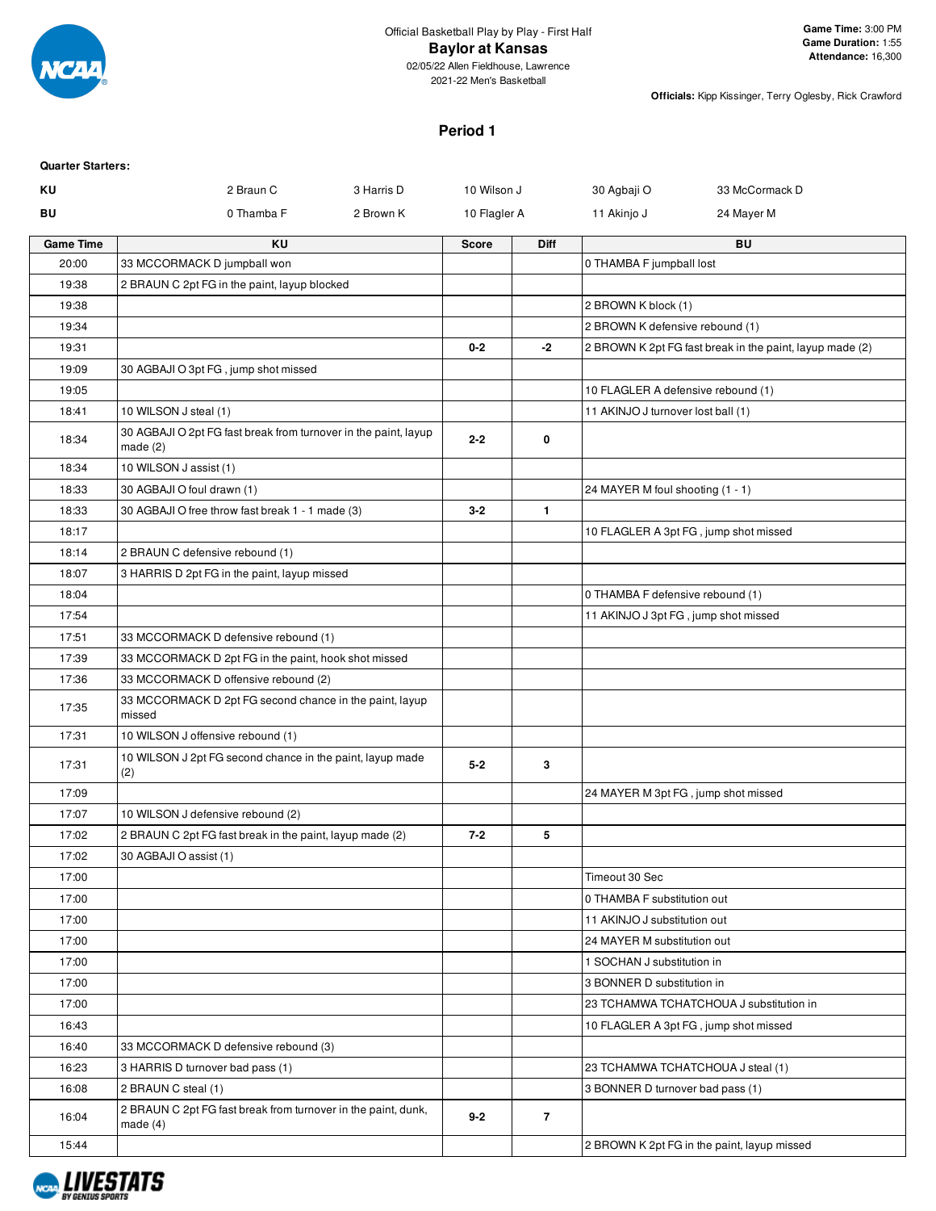

02/05/22 Allen Fieldhouse, Lawrence 2021-22 Men's Basketball

**Officials:** Kipp Kissinger, Terry Oglesby, Rick Crawford

# **Period 1**

| <b>Quarter Starters:</b> |                                                                               |              |                |                                      |                                                          |
|--------------------------|-------------------------------------------------------------------------------|--------------|----------------|--------------------------------------|----------------------------------------------------------|
| ΚU                       | 2 Braun C<br>3 Harris D                                                       | 10 Wilson J  |                | 30 Agbaji O                          | 33 McCormack D                                           |
| BU                       | 0 Thamba F<br>2 Brown K                                                       | 10 Flagler A |                | 11 Akinjo J                          | 24 Mayer M                                               |
| <b>Game Time</b>         | KU                                                                            | <b>Score</b> | <b>Diff</b>    |                                      | BU                                                       |
| 20:00                    | 33 MCCORMACK D jumpball won                                                   |              |                | 0 THAMBA F jumpball lost             |                                                          |
| 19:38                    | 2 BRAUN C 2pt FG in the paint, layup blocked                                  |              |                |                                      |                                                          |
| 19:38                    |                                                                               |              |                | 2 BROWN K block (1)                  |                                                          |
| 19:34                    |                                                                               |              |                | 2 BROWN K defensive rebound (1)      |                                                          |
| 19:31                    |                                                                               | $0 - 2$      | -2             |                                      | 2 BROWN K 2pt FG fast break in the paint, layup made (2) |
| 19:09                    | 30 AGBAJI O 3pt FG, jump shot missed                                          |              |                |                                      |                                                          |
| 19:05                    |                                                                               |              |                | 10 FLAGLER A defensive rebound (1)   |                                                          |
| 18:41                    | 10 WILSON J steal (1)                                                         |              |                | 11 AKINJO J turnover lost ball (1)   |                                                          |
| 18:34                    | 30 AGBAJI O 2pt FG fast break from turnover in the paint, layup<br>made $(2)$ | $2 - 2$      | 0              |                                      |                                                          |
| 18:34                    | 10 WILSON J assist (1)                                                        |              |                |                                      |                                                          |
| 18:33                    | 30 AGBAJI O foul drawn (1)                                                    |              |                | 24 MAYER M foul shooting (1 - 1)     |                                                          |
| 18:33                    | 30 AGBAJI O free throw fast break 1 - 1 made (3)                              | $3 - 2$      | $\mathbf{1}$   |                                      |                                                          |
| 18:17                    |                                                                               |              |                |                                      | 10 FLAGLER A 3pt FG, jump shot missed                    |
| 18:14                    | 2 BRAUN C defensive rebound (1)                                               |              |                |                                      |                                                          |
| 18:07                    | 3 HARRIS D 2pt FG in the paint, layup missed                                  |              |                |                                      |                                                          |
| 18:04                    |                                                                               |              |                | 0 THAMBA F defensive rebound (1)     |                                                          |
| 17:54                    |                                                                               |              |                | 11 AKINJO J 3pt FG, jump shot missed |                                                          |
| 17:51                    | 33 MCCORMACK D defensive rebound (1)                                          |              |                |                                      |                                                          |
| 17:39                    | 33 MCCORMACK D 2pt FG in the paint, hook shot missed                          |              |                |                                      |                                                          |
| 17:36                    | 33 MCCORMACK D offensive rebound (2)                                          |              |                |                                      |                                                          |
| 17:35                    | 33 MCCORMACK D 2pt FG second chance in the paint, layup<br>missed             |              |                |                                      |                                                          |
| 17:31                    | 10 WILSON J offensive rebound (1)                                             |              |                |                                      |                                                          |
| 17:31                    | 10 WILSON J 2pt FG second chance in the paint, layup made<br>(2)              | $5 - 2$      | 3              |                                      |                                                          |
| 17:09                    |                                                                               |              |                | 24 MAYER M 3pt FG, jump shot missed  |                                                          |
| 17:07                    | 10 WILSON J defensive rebound (2)                                             |              |                |                                      |                                                          |
| 17:02                    | 2 BRAUN C 2pt FG fast break in the paint, layup made (2)                      | $7 - 2$      | 5              |                                      |                                                          |
| 17:02                    | 30 AGBAJI O assist (1)                                                        |              |                |                                      |                                                          |
| 17:00                    |                                                                               |              |                | Timeout 30 Sec                       |                                                          |
| 17:00                    |                                                                               |              |                | 0 THAMBA F substitution out          |                                                          |
| 17:00                    |                                                                               |              |                | 11 AKINJO J substitution out         |                                                          |
| 17:00                    |                                                                               |              |                | 24 MAYER M substitution out          |                                                          |
| 17:00                    |                                                                               |              |                | 1 SOCHAN J substitution in           |                                                          |
| 17:00                    |                                                                               |              |                | 3 BONNER D substitution in           |                                                          |
| 17:00                    |                                                                               |              |                |                                      | 23 TCHAMWA TCHATCHOUA J substitution in                  |
| 16:43                    |                                                                               |              |                |                                      | 10 FLAGLER A 3pt FG, jump shot missed                    |
| 16:40                    | 33 MCCORMACK D defensive rebound (3)                                          |              |                |                                      |                                                          |
| 16:23                    | 3 HARRIS D turnover bad pass (1)                                              |              |                |                                      | 23 TCHAMWA TCHATCHOUA J steal (1)                        |
| 16:08                    | 2 BRAUN C steal (1)                                                           |              |                | 3 BONNER D turnover bad pass (1)     |                                                          |
| 16:04                    | 2 BRAUN C 2pt FG fast break from turnover in the paint, dunk,<br>made $(4)$   | $9 - 2$      | $\overline{7}$ |                                      |                                                          |
| 15:44                    |                                                                               |              |                |                                      | 2 BROWN K 2pt FG in the paint, layup missed              |

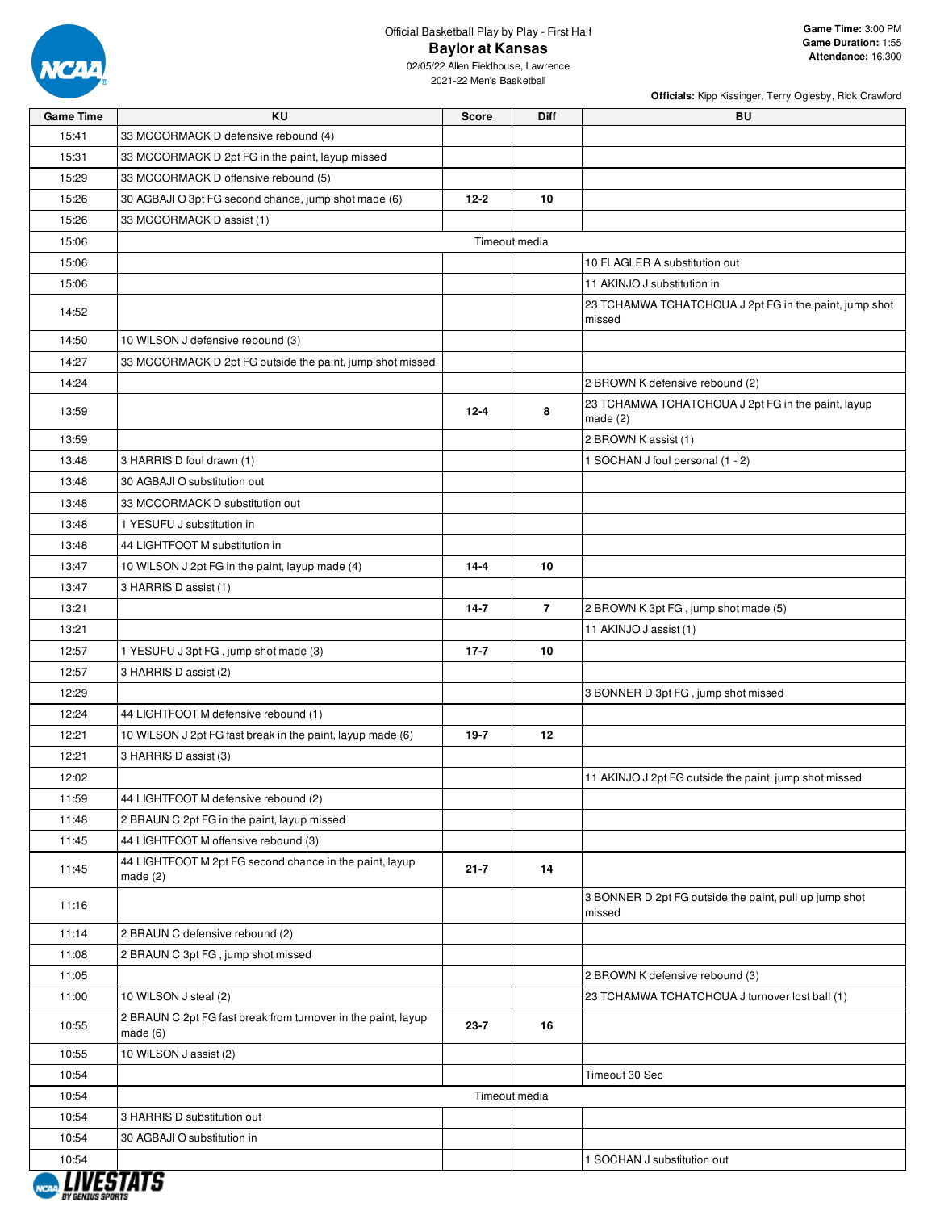

# Official Basketball Play by Play - First Half **Baylor at Kansas**

2021-22 Men's Basketball

| <b>Game Time</b> | KU                                                                       | <b>Score</b>  | Diff           | BU                                                               |
|------------------|--------------------------------------------------------------------------|---------------|----------------|------------------------------------------------------------------|
| 15:41            | 33 MCCORMACK D defensive rebound (4)                                     |               |                |                                                                  |
| 15:31            | 33 MCCORMACK D 2pt FG in the paint, layup missed                         |               |                |                                                                  |
| 15:29            | 33 MCCORMACK D offensive rebound (5)                                     |               |                |                                                                  |
| 15:26            | 30 AGBAJI O 3pt FG second chance, jump shot made (6)                     | $12 - 2$      | 10             |                                                                  |
| 15:26            | 33 MCCORMACK D assist (1)                                                |               |                |                                                                  |
| 15:06            |                                                                          | Timeout media |                |                                                                  |
| 15:06            |                                                                          |               |                | 10 FLAGLER A substitution out                                    |
| 15:06            |                                                                          |               |                | 11 AKINJO J substitution in                                      |
|                  |                                                                          |               |                | 23 TCHAMWA TCHATCHOUA J 2pt FG in the paint, jump shot           |
| 14:52            |                                                                          |               |                | missed                                                           |
| 14:50            | 10 WILSON J defensive rebound (3)                                        |               |                |                                                                  |
| 14:27            | 33 MCCORMACK D 2pt FG outside the paint, jump shot missed                |               |                |                                                                  |
| 14:24            |                                                                          |               |                | 2 BROWN K defensive rebound (2)                                  |
| 13:59            |                                                                          | $12 - 4$      | 8              | 23 TCHAMWA TCHATCHOUA J 2pt FG in the paint, layup<br>made $(2)$ |
| 13:59            |                                                                          |               |                | 2 BROWN K assist (1)                                             |
| 13:48            | 3 HARRIS D foul drawn (1)                                                |               |                | 1 SOCHAN J foul personal (1 - 2)                                 |
| 13:48            | 30 AGBAJI O substitution out                                             |               |                |                                                                  |
| 13:48            | 33 MCCORMACK D substitution out                                          |               |                |                                                                  |
| 13:48            | 1 YESUFU J substitution in                                               |               |                |                                                                  |
| 13:48            | 44 LIGHTFOOT M substitution in                                           |               |                |                                                                  |
| 13:47            | 10 WILSON J 2pt FG in the paint, layup made (4)                          | $14 - 4$      | 10             |                                                                  |
| 13:47            | 3 HARRIS D assist (1)                                                    |               |                |                                                                  |
| 13:21            |                                                                          | $14 - 7$      | $\overline{7}$ | 2 BROWN K 3pt FG, jump shot made (5)                             |
| 13:21            |                                                                          |               |                | 11 AKINJO J assist (1)                                           |
| 12:57            | 1 YESUFU J 3pt FG, jump shot made (3)                                    | $17 - 7$      | 10             |                                                                  |
| 12:57            | 3 HARRIS D assist (2)                                                    |               |                |                                                                  |
| 12:29            |                                                                          |               |                | 3 BONNER D 3pt FG, jump shot missed                              |
| 12:24            | 44 LIGHTFOOT M defensive rebound (1)                                     |               |                |                                                                  |
| 12:21            | 10 WILSON J 2pt FG fast break in the paint, layup made (6)               | $19 - 7$      | 12             |                                                                  |
| 12:21            | 3 HARRIS D assist (3)                                                    |               |                |                                                                  |
| 12:02            |                                                                          |               |                | 11 AKINJO J 2pt FG outside the paint, jump shot missed           |
| 11:59            | 44 LIGHTFOOT M defensive rebound (2)                                     |               |                |                                                                  |
| 11:48            | 2 BRAUN C 2pt FG in the paint, layup missed                              |               |                |                                                                  |
| 11:45            | 44 LIGHTFOOT M offensive rebound (3)                                     |               |                |                                                                  |
| 11:45            | 44 LIGHTFOOT M 2pt FG second chance in the paint, layup<br>made $(2)$    | $21 - 7$      | 14             |                                                                  |
| 11:16            |                                                                          |               |                | 3 BONNER D 2pt FG outside the paint, pull up jump shot<br>missed |
| 11:14            | 2 BRAUN C defensive rebound (2)                                          |               |                |                                                                  |
| 11:08            | 2 BRAUN C 3pt FG, jump shot missed                                       |               |                |                                                                  |
| 11:05            |                                                                          |               |                | 2 BROWN K defensive rebound (3)                                  |
| 11:00            | 10 WILSON J steal (2)                                                    |               |                | 23 TCHAMWA TCHATCHOUA J turnover lost ball (1)                   |
| 10:55            | 2 BRAUN C 2pt FG fast break from turnover in the paint, layup<br>made(6) | $23 - 7$      | 16             |                                                                  |
| 10:55            | 10 WILSON J assist (2)                                                   |               |                |                                                                  |
| 10:54            |                                                                          |               |                | Timeout 30 Sec                                                   |
| 10:54            |                                                                          | Timeout media |                |                                                                  |
| 10:54            | 3 HARRIS D substitution out                                              |               |                |                                                                  |
| 10:54            | 30 AGBAJI O substitution in                                              |               |                |                                                                  |
| 10:54            |                                                                          |               |                | 1 SOCHAN J substitution out                                      |

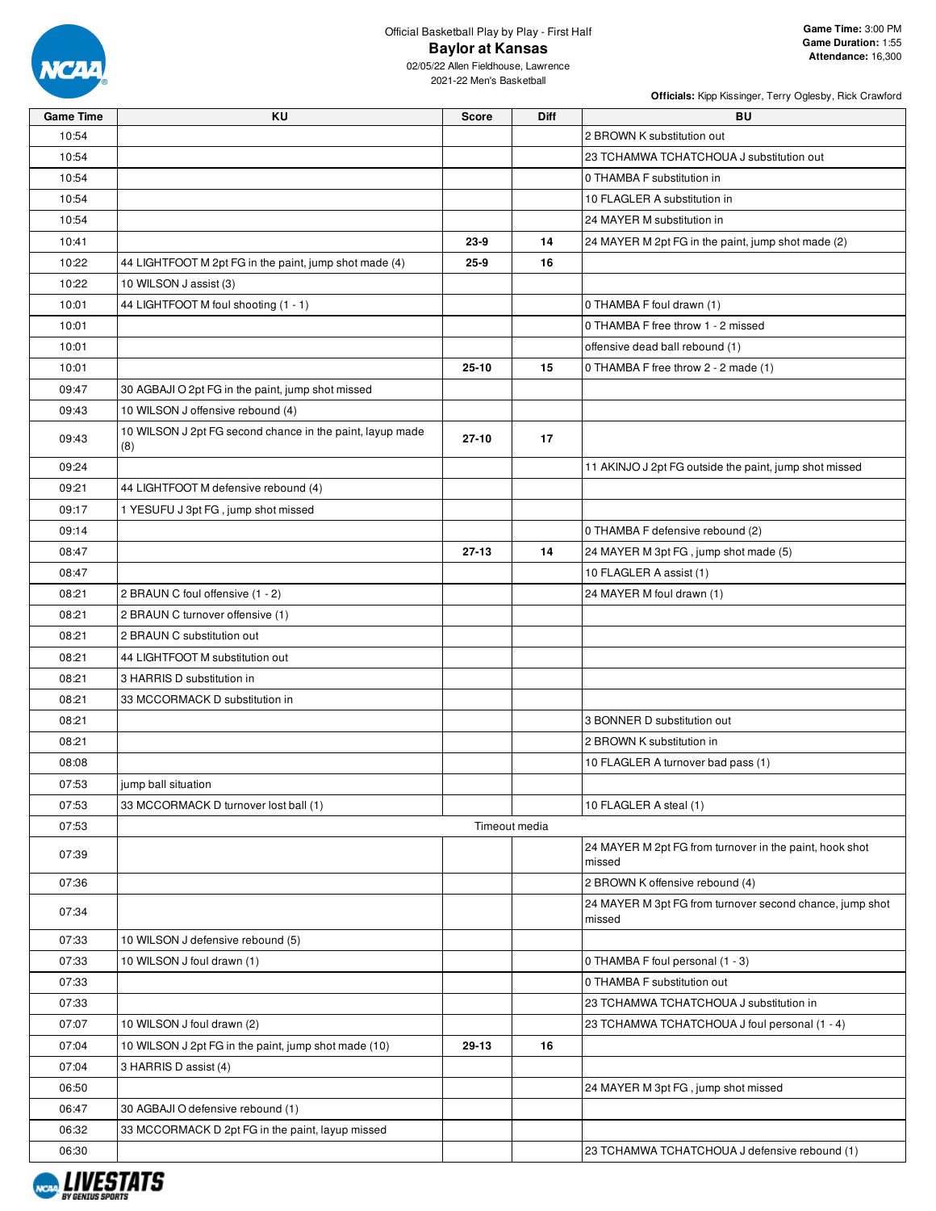

# Official Basketball Play by Play - First Half **Baylor at Kansas**

| <b>Game Time</b> | <b>KU</b>                                                        | <b>Score</b> | <b>Diff</b>   | <b>BU</b>                                                          |
|------------------|------------------------------------------------------------------|--------------|---------------|--------------------------------------------------------------------|
| 10:54            |                                                                  |              |               | 2 BROWN K substitution out                                         |
| 10:54            |                                                                  |              |               | 23 TCHAMWA TCHATCHOUA J substitution out                           |
| 10:54            |                                                                  |              |               | 0 THAMBA F substitution in                                         |
| 10:54            |                                                                  |              |               | 10 FLAGLER A substitution in                                       |
| 10:54            |                                                                  |              |               | 24 MAYER M substitution in                                         |
| 10:41            |                                                                  | 23-9         | 14            | 24 MAYER M 2pt FG in the paint, jump shot made (2)                 |
| 10:22            | 44 LIGHTFOOT M 2pt FG in the paint, jump shot made (4)           | $25 - 9$     | 16            |                                                                    |
| 10:22            | 10 WILSON J assist (3)                                           |              |               |                                                                    |
| 10:01            | 44 LIGHTFOOT M foul shooting (1 - 1)                             |              |               | 0 THAMBA F foul drawn (1)                                          |
| 10:01            |                                                                  |              |               | 0 THAMBA F free throw 1 - 2 missed                                 |
| 10:01            |                                                                  |              |               | offensive dead ball rebound (1)                                    |
| 10:01            |                                                                  | $25 - 10$    | 15            | 0 THAMBA F free throw 2 - 2 made (1)                               |
| 09:47            | 30 AGBAJI O 2pt FG in the paint, jump shot missed                |              |               |                                                                    |
| 09:43            | 10 WILSON J offensive rebound (4)                                |              |               |                                                                    |
| 09:43            | 10 WILSON J 2pt FG second chance in the paint, layup made<br>(8) | $27 - 10$    | 17            |                                                                    |
| 09:24            |                                                                  |              |               | 11 AKINJO J 2pt FG outside the paint, jump shot missed             |
| 09:21            | 44 LIGHTFOOT M defensive rebound (4)                             |              |               |                                                                    |
| 09:17            | 1 YESUFU J 3pt FG, jump shot missed                              |              |               |                                                                    |
| 09:14            |                                                                  |              |               | 0 THAMBA F defensive rebound (2)                                   |
| 08:47            |                                                                  | $27 - 13$    | 14            | 24 MAYER M 3pt FG, jump shot made (5)                              |
| 08:47            |                                                                  |              |               | 10 FLAGLER A assist (1)                                            |
| 08:21            | 2 BRAUN C foul offensive (1 - 2)                                 |              |               | 24 MAYER M foul drawn (1)                                          |
| 08:21            | 2 BRAUN C turnover offensive (1)                                 |              |               |                                                                    |
| 08:21            | 2 BRAUN C substitution out                                       |              |               |                                                                    |
| 08:21            | 44 LIGHTFOOT M substitution out                                  |              |               |                                                                    |
| 08:21            | 3 HARRIS D substitution in                                       |              |               |                                                                    |
| 08:21            | 33 MCCORMACK D substitution in                                   |              |               |                                                                    |
| 08:21            |                                                                  |              |               | 3 BONNER D substitution out                                        |
| 08:21            |                                                                  |              |               | 2 BROWN K substitution in                                          |
| 08:08            |                                                                  |              |               | 10 FLAGLER A turnover bad pass (1)                                 |
| 07:53            | jump ball situation                                              |              |               |                                                                    |
| 07:53            | 33 MCCORMACK D turnover lost ball (1)                            |              |               | 10 FLAGLER A steal (1)                                             |
| 07:53            |                                                                  |              | Timeout media |                                                                    |
| 07:39            |                                                                  |              |               | 24 MAYER M 2pt FG from turnover in the paint, hook shot<br>missed  |
| 07:36            |                                                                  |              |               | 2 BROWN K offensive rebound (4)                                    |
| 07:34            |                                                                  |              |               | 24 MAYER M 3pt FG from turnover second chance, jump shot<br>missed |
| 07:33            | 10 WILSON J defensive rebound (5)                                |              |               |                                                                    |
| 07:33            | 10 WILSON J foul drawn (1)                                       |              |               | 0 THAMBA F foul personal (1 - 3)                                   |
| 07:33            |                                                                  |              |               | 0 THAMBA F substitution out                                        |
| 07:33            |                                                                  |              |               | 23 TCHAMWA TCHATCHOUA J substitution in                            |
| 07:07            | 10 WILSON J foul drawn (2)                                       |              |               | 23 TCHAMWA TCHATCHOUA J foul personal (1 - 4)                      |
| 07:04            | 10 WILSON J 2pt FG in the paint, jump shot made (10)             | 29-13        | 16            |                                                                    |
| 07:04            | 3 HARRIS D assist (4)                                            |              |               |                                                                    |
| 06:50            |                                                                  |              |               | 24 MAYER M 3pt FG, jump shot missed                                |
| 06:47            | 30 AGBAJI O defensive rebound (1)                                |              |               |                                                                    |
| 06:32            | 33 MCCORMACK D 2pt FG in the paint, layup missed                 |              |               |                                                                    |
| 06:30            |                                                                  |              |               | 23 TCHAMWA TCHATCHOUA J defensive rebound (1)                      |

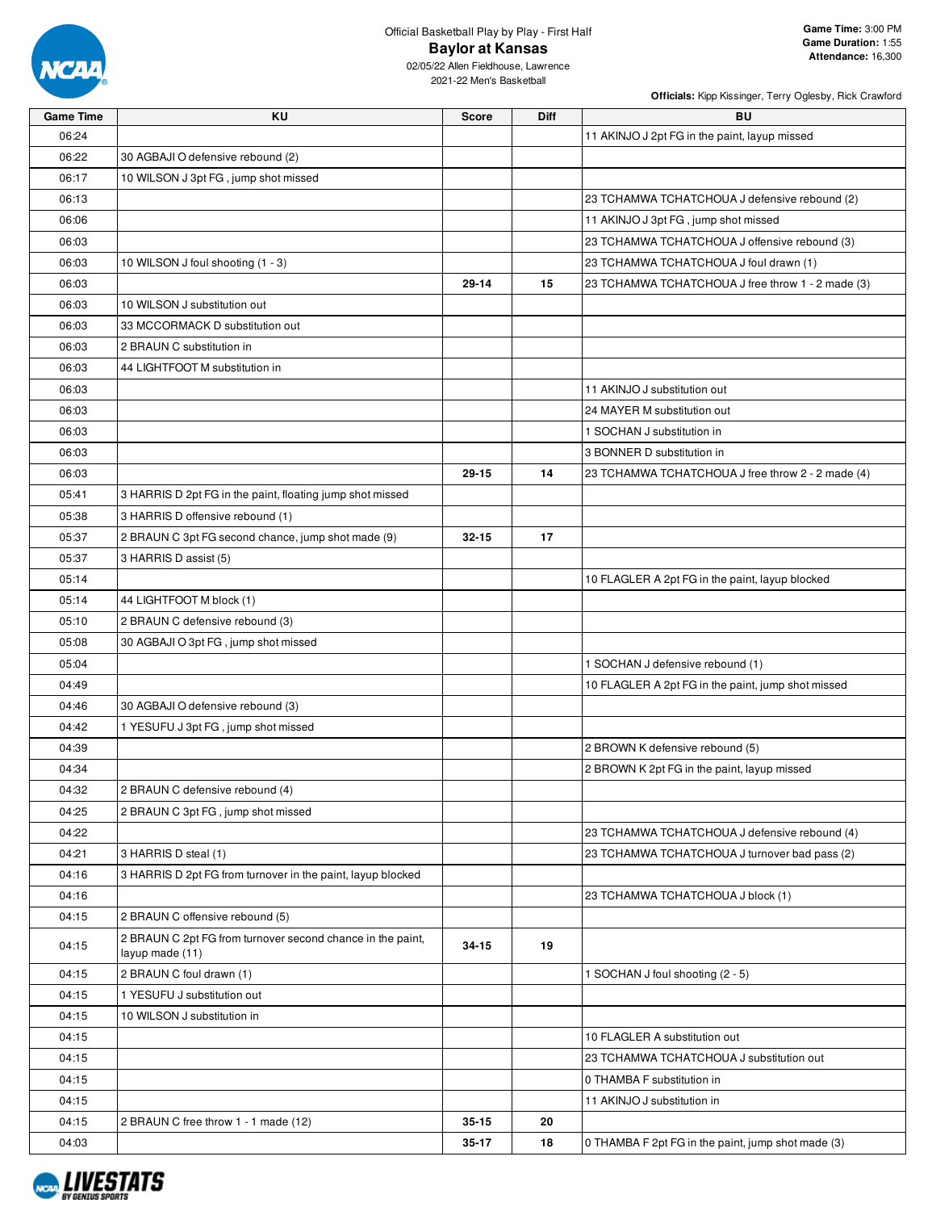

02/05/22 Allen Fieldhouse, Lawrence 2021-22 Men's Basketball

| <b>Game Time</b> | KU                                                                            | Score     | Diff | <b>BU</b>                                          |
|------------------|-------------------------------------------------------------------------------|-----------|------|----------------------------------------------------|
| 06:24            |                                                                               |           |      | 11 AKINJO J 2pt FG in the paint, layup missed      |
| 06:22            | 30 AGBAJI O defensive rebound (2)                                             |           |      |                                                    |
| 06:17            | 10 WILSON J 3pt FG, jump shot missed                                          |           |      |                                                    |
| 06:13            |                                                                               |           |      | 23 TCHAMWA TCHATCHOUA J defensive rebound (2)      |
| 06:06            |                                                                               |           |      | 11 AKINJO J 3pt FG, jump shot missed               |
| 06:03            |                                                                               |           |      | 23 TCHAMWA TCHATCHOUA J offensive rebound (3)      |
| 06:03            | 10 WILSON J foul shooting (1 - 3)                                             |           |      | 23 TCHAMWA TCHATCHOUA J foul drawn (1)             |
| 06:03            |                                                                               | $29 - 14$ | 15   | 23 TCHAMWA TCHATCHOUA J free throw 1 - 2 made (3)  |
| 06:03            | 10 WILSON J substitution out                                                  |           |      |                                                    |
| 06:03            | 33 MCCORMACK D substitution out                                               |           |      |                                                    |
| 06:03            | 2 BRAUN C substitution in                                                     |           |      |                                                    |
| 06:03            | 44 LIGHTFOOT M substitution in                                                |           |      |                                                    |
| 06:03            |                                                                               |           |      | 11 AKINJO J substitution out                       |
| 06:03            |                                                                               |           |      | 24 MAYER M substitution out                        |
| 06:03            |                                                                               |           |      | 1 SOCHAN J substitution in                         |
| 06:03            |                                                                               |           |      | 3 BONNER D substitution in                         |
| 06:03            |                                                                               | $29 - 15$ | 14   | 23 TCHAMWA TCHATCHOUA J free throw 2 - 2 made (4)  |
| 05:41            | 3 HARRIS D 2pt FG in the paint, floating jump shot missed                     |           |      |                                                    |
| 05:38            | 3 HARRIS D offensive rebound (1)                                              |           |      |                                                    |
| 05:37            | 2 BRAUN C 3pt FG second chance, jump shot made (9)                            | $32 - 15$ | 17   |                                                    |
| 05:37            | 3 HARRIS D assist (5)                                                         |           |      |                                                    |
| 05:14            |                                                                               |           |      | 10 FLAGLER A 2pt FG in the paint, layup blocked    |
| 05:14            | 44 LIGHTFOOT M block (1)                                                      |           |      |                                                    |
| 05:10            | 2 BRAUN C defensive rebound (3)                                               |           |      |                                                    |
| 05:08            | 30 AGBAJI O 3pt FG, jump shot missed                                          |           |      |                                                    |
| 05:04            |                                                                               |           |      | 1 SOCHAN J defensive rebound (1)                   |
| 04:49            |                                                                               |           |      | 10 FLAGLER A 2pt FG in the paint, jump shot missed |
| 04:46            | 30 AGBAJI O defensive rebound (3)                                             |           |      |                                                    |
| 04:42            | 1 YESUFU J 3pt FG, jump shot missed                                           |           |      |                                                    |
| 04:39            |                                                                               |           |      | 2 BROWN K defensive rebound (5)                    |
| 04:34            |                                                                               |           |      | 2 BROWN K 2pt FG in the paint, layup missed        |
| 04:32            | 2 BRAUN C defensive rebound (4)                                               |           |      |                                                    |
| 04:25            | 2 BRAUN C 3pt FG, jump shot missed                                            |           |      |                                                    |
| 04:22            |                                                                               |           |      | 23 TCHAMWA TCHATCHOUA J defensive rebound (4)      |
| 04:21            | 3 HARRIS D steal (1)                                                          |           |      | 23 TCHAMWA TCHATCHOUA J turnover bad pass (2)      |
| 04:16            | 3 HARRIS D 2pt FG from turnover in the paint, layup blocked                   |           |      |                                                    |
| 04:16            |                                                                               |           |      | 23 TCHAMWA TCHATCHOUA J block (1)                  |
| 04:15            | 2 BRAUN C offensive rebound (5)                                               |           |      |                                                    |
| 04:15            | 2 BRAUN C 2pt FG from turnover second chance in the paint,<br>layup made (11) | 34-15     | 19   |                                                    |
| 04:15            | 2 BRAUN C foul drawn (1)                                                      |           |      | 1 SOCHAN J foul shooting (2 - 5)                   |
| 04:15            | 1 YESUFU J substitution out                                                   |           |      |                                                    |
| 04:15            | 10 WILSON J substitution in                                                   |           |      |                                                    |
| 04:15            |                                                                               |           |      | 10 FLAGLER A substitution out                      |
| 04:15            |                                                                               |           |      | 23 TCHAMWA TCHATCHOUA J substitution out           |
| 04:15            |                                                                               |           |      | 0 THAMBA F substitution in                         |
| 04:15            |                                                                               |           |      | 11 AKINJO J substitution in                        |
| 04:15            | 2 BRAUN C free throw 1 - 1 made (12)                                          | 35-15     | 20   |                                                    |
| 04:03            |                                                                               | 35-17     | 18   | 0 THAMBA F 2pt FG in the paint, jump shot made (3) |

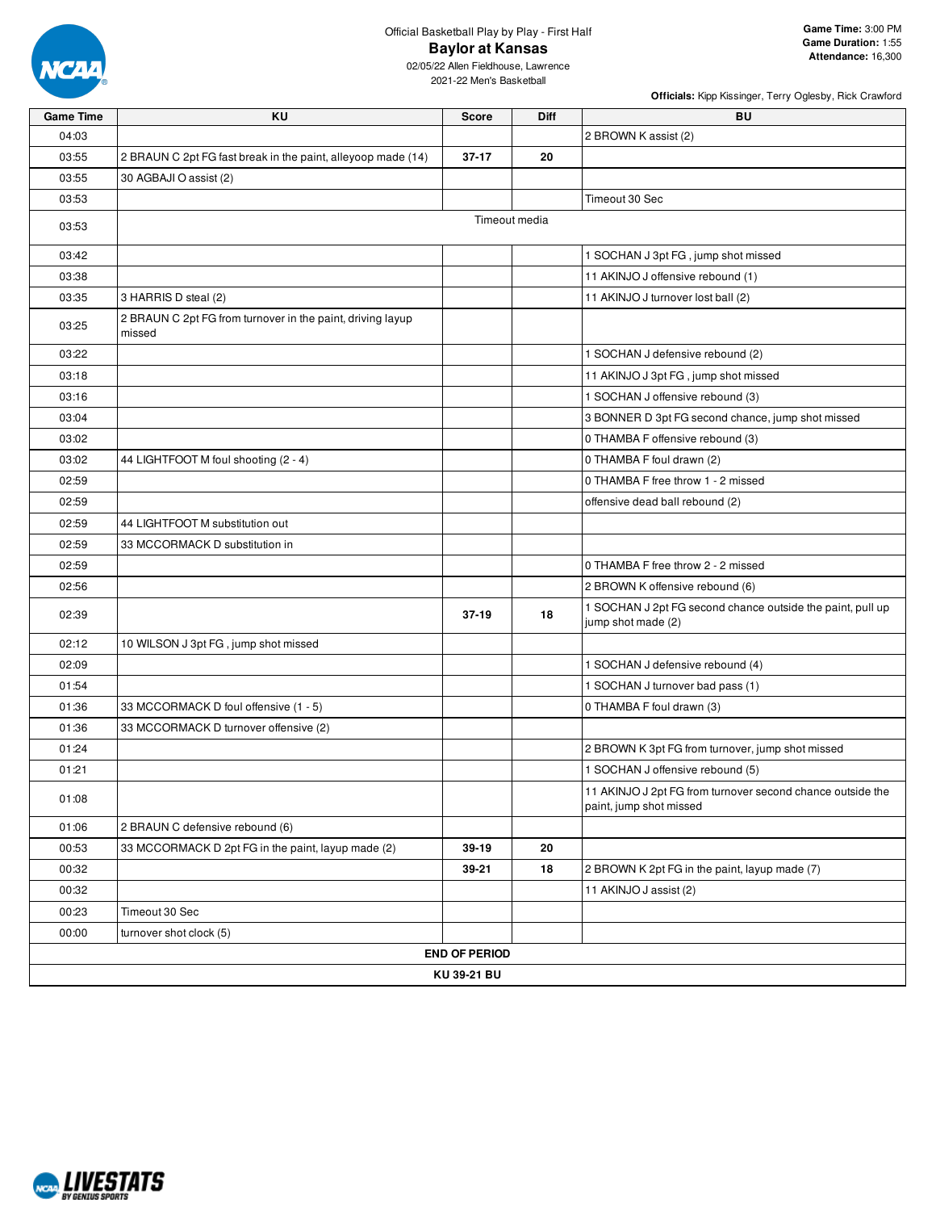

## Official Basketball Play by Play - First Half **Baylor at Kansas**

02/05/22 Allen Fieldhouse, Lawrence 2021-22 Men's Basketball

| <b>Game Time</b> | KU                                                                   | <b>Score</b>         | Diff          | <b>BU</b>                                                                             |
|------------------|----------------------------------------------------------------------|----------------------|---------------|---------------------------------------------------------------------------------------|
| 04:03            |                                                                      |                      |               | 2 BROWN K assist (2)                                                                  |
| 03:55            | 2 BRAUN C 2pt FG fast break in the paint, alleyoop made (14)         | $37 - 17$            | 20            |                                                                                       |
| 03:55            | 30 AGBAJI O assist (2)                                               |                      |               |                                                                                       |
| 03:53            |                                                                      |                      |               | Timeout 30 Sec                                                                        |
| 03:53            |                                                                      |                      | Timeout media |                                                                                       |
| 03:42            |                                                                      |                      |               | 1 SOCHAN J 3pt FG, jump shot missed                                                   |
| 03:38            |                                                                      |                      |               | 11 AKINJO J offensive rebound (1)                                                     |
| 03:35            | 3 HARRIS D steal (2)                                                 |                      |               | 11 AKINJO J turnover lost ball (2)                                                    |
| 03:25            | 2 BRAUN C 2pt FG from turnover in the paint, driving layup<br>missed |                      |               |                                                                                       |
| 03:22            |                                                                      |                      |               | 1 SOCHAN J defensive rebound (2)                                                      |
| 03:18            |                                                                      |                      |               | 11 AKINJO J 3pt FG, jump shot missed                                                  |
| 03:16            |                                                                      |                      |               | 1 SOCHAN J offensive rebound (3)                                                      |
| 03:04            |                                                                      |                      |               | 3 BONNER D 3pt FG second chance, jump shot missed                                     |
| 03:02            |                                                                      |                      |               | 0 THAMBA F offensive rebound (3)                                                      |
| 03:02            | 44 LIGHTFOOT M foul shooting (2 - 4)                                 |                      |               | 0 THAMBA F foul drawn (2)                                                             |
| 02:59            |                                                                      |                      |               | 0 THAMBA F free throw 1 - 2 missed                                                    |
| 02:59            |                                                                      |                      |               | offensive dead ball rebound (2)                                                       |
| 02:59            | 44 LIGHTFOOT M substitution out                                      |                      |               |                                                                                       |
| 02:59            | 33 MCCORMACK D substitution in                                       |                      |               |                                                                                       |
| 02:59            |                                                                      |                      |               | 0 THAMBA F free throw 2 - 2 missed                                                    |
| 02:56            |                                                                      |                      |               | 2 BROWN K offensive rebound (6)                                                       |
| 02:39            |                                                                      | $37-19$              | 18            | 1 SOCHAN J 2pt FG second chance outside the paint, pull up<br>jump shot made (2)      |
| 02:12            | 10 WILSON J 3pt FG, jump shot missed                                 |                      |               |                                                                                       |
| 02:09            |                                                                      |                      |               | 1 SOCHAN J defensive rebound (4)                                                      |
| 01:54            |                                                                      |                      |               | 1 SOCHAN J turnover bad pass (1)                                                      |
| 01:36            | 33 MCCORMACK D foul offensive (1 - 5)                                |                      |               | 0 THAMBA F foul drawn (3)                                                             |
| 01:36            | 33 MCCORMACK D turnover offensive (2)                                |                      |               |                                                                                       |
| 01:24            |                                                                      |                      |               | 2 BROWN K 3pt FG from turnover, jump shot missed                                      |
| 01:21            |                                                                      |                      |               | 1 SOCHAN J offensive rebound (5)                                                      |
| 01:08            |                                                                      |                      |               | 11 AKINJO J 2pt FG from turnover second chance outside the<br>paint, jump shot missed |
| 01:06            | 2 BRAUN C defensive rebound (6)                                      |                      |               |                                                                                       |
| 00:53            | 33 MCCORMACK D 2pt FG in the paint, layup made (2)                   | 39-19                | 20            |                                                                                       |
| 00:32            |                                                                      | 39-21                | 18            | 2 BROWN K 2pt FG in the paint, layup made (7)                                         |
| 00:32            |                                                                      |                      |               | 11 AKINJO J assist (2)                                                                |
| 00:23            | Timeout 30 Sec                                                       |                      |               |                                                                                       |
| 00:00            | turnover shot clock (5)                                              |                      |               |                                                                                       |
|                  |                                                                      | <b>END OF PERIOD</b> |               |                                                                                       |
|                  |                                                                      | KU 39-21 BU          |               |                                                                                       |

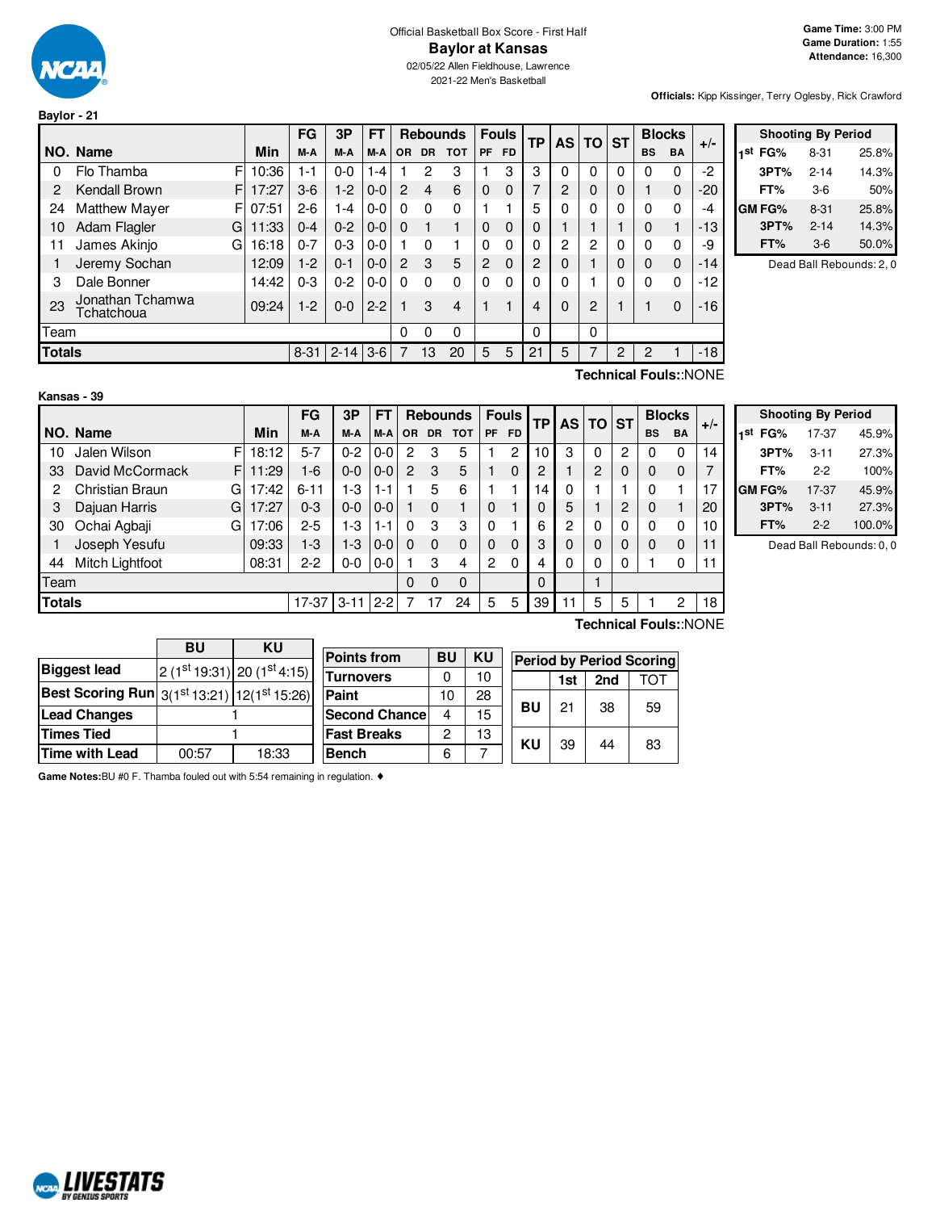

**Baylor - 21**

02/05/22 Allen Fieldhouse, Lawrence 2021-22 Men's Basketball

**Officials:** Kipp Kissinger, Terry Oglesby, Rick Crawford

|               |                                |       | <b>FG</b> | 3P       | FT      |           | <b>Rebounds</b> |            |                | <b>Fouls</b> | ТP             |          | AS TO ST       |          |           | <b>Blocks</b> | $+/-$ |
|---------------|--------------------------------|-------|-----------|----------|---------|-----------|-----------------|------------|----------------|--------------|----------------|----------|----------------|----------|-----------|---------------|-------|
|               | NO. Name                       | Min   | M-A       | M-A      | M-A     | <b>OR</b> | <b>DR</b>       | <b>TOT</b> | <b>PF</b>      | <b>FD</b>    |                |          |                |          | <b>BS</b> | <b>BA</b>     |       |
| 0             | F<br>Flo Thamba                | 10:36 | 1-1       | $0 - 0$  | 1-4     |           | 2               | 3          |                | 3            | 3              | 0        | 0              | 0        | 0         | $\Omega$      | $-2$  |
| 2             | Kendall Brown<br>F             | 17:27 | $3-6$     | $1-2$    | $0-0$   | 2         | 4               | 6          | $\Omega$       | $\Omega$     | $\overline{7}$ | 2        | $\mathbf 0$    | $\Omega$ |           | $\Omega$      | $-20$ |
| 24            | <b>Matthew Mayer</b><br>F      | 07:51 | $2-6$     | $-4$     | $0-0$   | $\Omega$  | $\Omega$        | 0          |                |              | 5              | 0        | $\Omega$       | $\Omega$ | 0         | $\Omega$      | -4    |
| 10            | Adam Flagler<br>G              | 11:33 | $0 - 4$   | $0 - 2$  | $0-0$   | $\Omega$  |                 |            | $\Omega$       | $\Omega$     | 0              |          |                |          | 0         |               | $-13$ |
| 11            | James Akinjo<br>G              | 16:18 | $0 - 7$   | $0 - 3$  | $0-0$   |           | $\Omega$        |            | $\Omega$       | 0            | 0              | 2        | $\overline{c}$ | 0        | 0         | $\Omega$      | -9    |
|               | Jeremy Sochan                  | 12:09 | $1-2$     | $0 - 1$  | $0-0$   | 2         | 3               | 5          | $\overline{2}$ | $\Omega$     | 2              | 0        |                | $\Omega$ | $\Omega$  | $\Omega$      | $-14$ |
| 3             | Dale Bonner                    | 14:42 | $0 - 3$   | $0 - 2$  | $0-0$   | $\Omega$  | $\Omega$        | 0          | $\Omega$       | 0            | 0              | $\Omega$ | 1              | 0        | 0         | $\mathbf{0}$  | $-12$ |
| 23            | Jonathan Tchamwa<br>Tchatchoua | 09:24 | $1-2$     | $0 - 0$  | $2 - 2$ |           | 3               | 4          |                |              | 4              | $\Omega$ | $\overline{2}$ |          |           | $\Omega$      | $-16$ |
| Team          |                                |       |           |          |         | $\Omega$  | 0               | 0          |                |              | 0              |          | 0              |          |           |               |       |
| <b>Totals</b> |                                |       | $8 - 31$  | $2 - 14$ | $3-6$   |           | 13              | 20         | 5              | 5            | 21             | 5        |                | 2        | 2         |               | $-18$ |
|               |                                |       |           |          |         |           |                 |            |                |              |                |          |                |          |           |               |       |

| <b>Shooting By Period</b> |          |       |  |  |  |  |  |  |  |  |
|---------------------------|----------|-------|--|--|--|--|--|--|--|--|
| 1 <sup>st</sup> FG%       | 8-31     | 25.8% |  |  |  |  |  |  |  |  |
| 3PT%                      | $2 - 14$ | 14.3% |  |  |  |  |  |  |  |  |
| FT%                       | 3-6      | 50%   |  |  |  |  |  |  |  |  |
| <b>GM FG%</b>             | $8 - 31$ | 25.8% |  |  |  |  |  |  |  |  |
| 3PT%                      | $2 - 14$ | 14.3% |  |  |  |  |  |  |  |  |
| FT%                       | $3-6$    | 50.0% |  |  |  |  |  |  |  |  |

Dead Ball Rebounds: 2, 0

#### **Kansas - 39**

**Technical Fouls:**:NONE

|               |                             |            | FG       | 3P       | FТ      |           |              | <b>Rebounds</b> |                | <b>Fouls</b> | TΡ | AS             | TO             | <b>ST</b> |           | <b>Blocks</b> | $+/-$ |
|---------------|-----------------------------|------------|----------|----------|---------|-----------|--------------|-----------------|----------------|--------------|----|----------------|----------------|-----------|-----------|---------------|-------|
|               | NO. Name                    | <b>Min</b> | M-A      | M-A      | M-A     | <b>OR</b> | <b>DR</b>    | тот             | <b>PF</b>      | <b>FD</b>    |    |                |                |           | <b>BS</b> | <b>BA</b>     |       |
| 10            | Jalen Wilson<br>F           | 18:12      | $5 - 7$  | $0 - 2$  | 0-0     | 2         | 3            | 5               |                | 2            | 10 | 3              | 0              | 2         | 0         | 0             | 14    |
| 33            | F<br>David McCormack        | 11:29      | $1-6$    | $0 - 0$  | $0 - 0$ | 2         | 3            | 5               |                | 0            | 2  |                | $\overline{2}$ | 0         | 0         | 0             |       |
| 2             | <b>Christian Braun</b><br>G | 17:42      | $6 - 11$ | 1-3      | 1-1     |           | 5            | 6               |                |              | 14 | 0              |                |           | 0         |               | 17    |
| 3             | Dajuan Harris<br>G          | 17:27      | $0 - 3$  | $0 - 0$  | $0-0$   |           | $\Omega$     |                 | $\Omega$       |              |    | 5              |                | 2         | 0         |               | 20    |
| 30            | Ochai Agbaji<br>G           | 17:06      | $2 - 5$  | 1-3      | 1-1     | 0         | 3            | 3               | 0              |              | 6  | $\overline{2}$ | 0              | 0         | 0         | 0             | 10    |
|               | Joseph Yesufu               | 09:33      | $1-3$    | 1-3      | $0 - 0$ | $\Omega$  | <sup>0</sup> | 0               | 0              | 0            | 3  | 0              | 0              | 0         | 0         | 0             | 11    |
| 44            | Mitch Lightfoot             | 08:31      | $2-2$    | $0-0$    | $0-0$   |           | 3            | 4               | $\overline{c}$ | 0            | 4  | 0              | 0              | 0         |           | 0             | 11    |
| Team          |                             |            |          |          |         | $\Omega$  | $\Omega$     | $\mathbf 0$     |                |              | 0  |                |                |           |           |               |       |
| <b>Totals</b> |                             |            | 17-37    | $3 - 11$ | $2 - 2$ |           |              | 24              | 5              | 5            | 39 |                | 5              | 5         |           | 2             | 18    |
|               |                             |            |          |          |         |           |              |                 |                |              |    |                |                |           |           |               |       |

|     | <b>Shooting By Period</b> |          |        |  |  |  |  |  |  |  |  |  |  |  |
|-----|---------------------------|----------|--------|--|--|--|--|--|--|--|--|--|--|--|
| 1st | FG%                       | 17-37    | 45.9%  |  |  |  |  |  |  |  |  |  |  |  |
|     | 3PT%                      | $3 - 11$ | 27.3%  |  |  |  |  |  |  |  |  |  |  |  |
|     | FT%                       | $2-2$    | 100%   |  |  |  |  |  |  |  |  |  |  |  |
|     | GM FG%                    | 17-37    | 45.9%  |  |  |  |  |  |  |  |  |  |  |  |
|     | 3PT%                      | $3 - 11$ | 27.3%  |  |  |  |  |  |  |  |  |  |  |  |
|     | FT%                       | $2-2$    | 100.0% |  |  |  |  |  |  |  |  |  |  |  |

Dead Ball Rebounds: 0, 0

|                                                                    | BU    | ΚU                          | F |  |  |  |
|--------------------------------------------------------------------|-------|-----------------------------|---|--|--|--|
| <b>Biggest lead</b>                                                |       | $2(1st 19:31) 20(1st 4:15)$ |   |  |  |  |
| <b>Best Scoring Run</b> $3(1^{st}13:21)$ 12(1 <sup>st</sup> 15:26) |       |                             | Ē |  |  |  |
| <b>Lead Changes</b>                                                |       |                             |   |  |  |  |
| <b>Times Tied</b>                                                  |       |                             |   |  |  |  |
| <b>Time with Lead</b>                                              | 00:57 | 18:33                       | E |  |  |  |

| <b>Points from</b>   | BU | KU | <b>Period by Period Scoring</b> |     |     |     |  |  |  |  |
|----------------------|----|----|---------------------------------|-----|-----|-----|--|--|--|--|
| <b>Turnovers</b>     |    | 10 |                                 | 1st | 2nd | ΤΩΤ |  |  |  |  |
| Paint                | 10 | 28 | <b>BU</b>                       |     |     |     |  |  |  |  |
| <b>Second Chance</b> | 4  | 15 |                                 | 21  | 38  | 59  |  |  |  |  |
| <b>Fast Breaks</b>   | 2  | 13 | KU                              | 39  | 44  | 83  |  |  |  |  |
| Bench                | հ  |    |                                 |     |     |     |  |  |  |  |

**Technical Fouls:**:NONE

| ი |           | 1st | 2nd | <b>TOT</b> |
|---|-----------|-----|-----|------------|
| 8 |           |     |     |            |
| 5 | <b>BU</b> | 21  | 38  | 59         |
| 3 | ΚU        | 39  |     |            |
|   |           |     | 44  | 83         |

**Game Notes:**BU #0 F. Thamba fouled out with 5:54 remaining in regulation. ♦

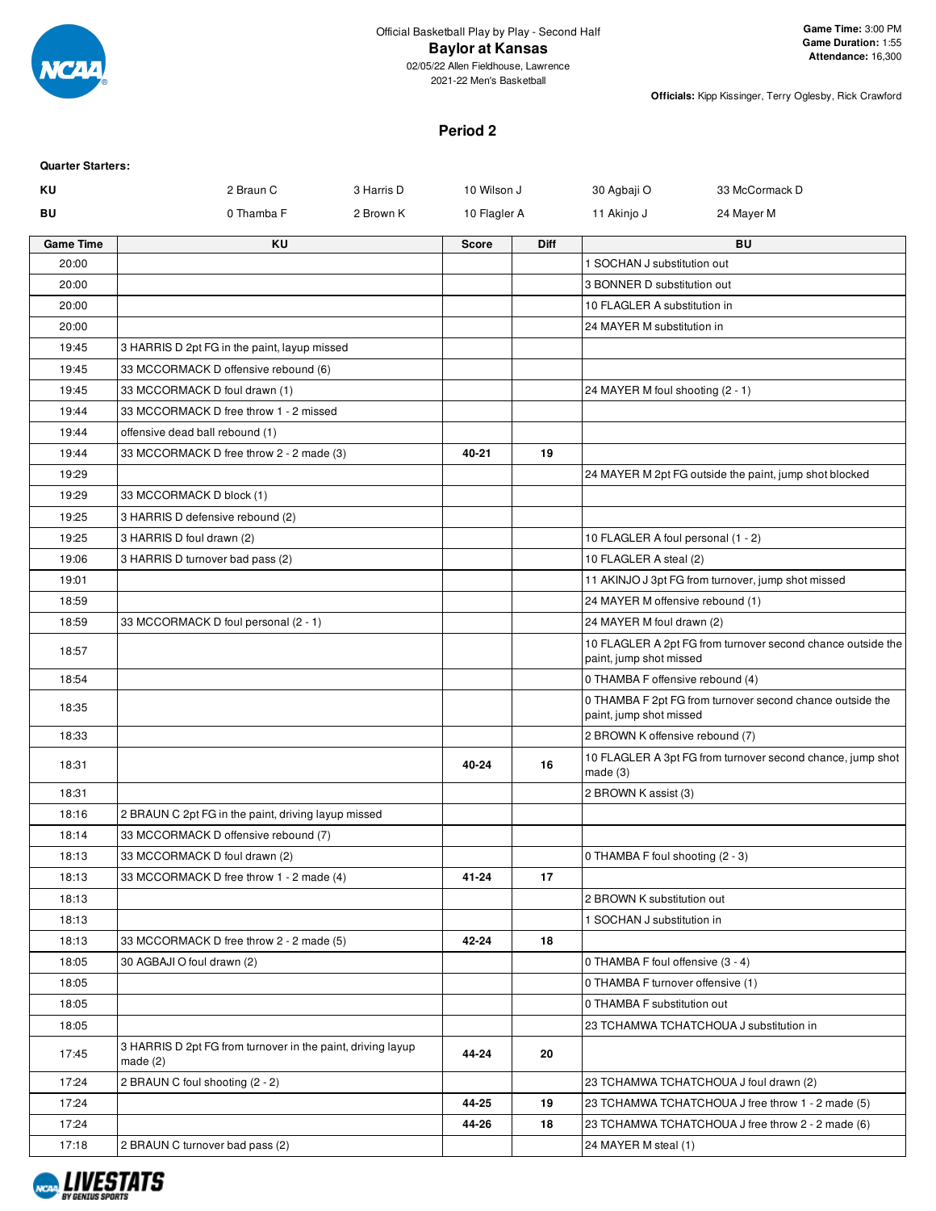

#### **Baylor at Kansas**

02/05/22 Allen Fieldhouse, Lawrence 2021-22 Men's Basketball

**Officials:** Kipp Kissinger, Terry Oglesby, Rick Crawford

#### **Period 2**

| <b>Quarter Starters:</b> |                                                                           |            |              |             |                                    |                                                             |
|--------------------------|---------------------------------------------------------------------------|------------|--------------|-------------|------------------------------------|-------------------------------------------------------------|
| ΚU                       | 2 Braun C                                                                 | 3 Harris D | 10 Wilson J  |             | 30 Agbaji O                        | 33 McCormack D                                              |
| BU                       | 0 Thamba F                                                                | 2 Brown K  | 10 Flagler A |             | 11 Akinjo J                        | 24 Mayer M                                                  |
| Game Time                | ΚU                                                                        |            | <b>Score</b> | <b>Diff</b> |                                    | BU                                                          |
| 20:00                    |                                                                           |            |              |             | 1 SOCHAN J substitution out        |                                                             |
| 20:00                    |                                                                           |            |              |             | 3 BONNER D substitution out        |                                                             |
| 20:00                    |                                                                           |            |              |             | 10 FLAGLER A substitution in       |                                                             |
| 20:00                    |                                                                           |            |              |             | 24 MAYER M substitution in         |                                                             |
| 19:45                    | 3 HARRIS D 2pt FG in the paint, layup missed                              |            |              |             |                                    |                                                             |
| 19:45                    | 33 MCCORMACK D offensive rebound (6)                                      |            |              |             |                                    |                                                             |
| 19:45                    | 33 MCCORMACK D foul drawn (1)                                             |            |              |             | 24 MAYER M foul shooting (2 - 1)   |                                                             |
| 19:44                    | 33 MCCORMACK D free throw 1 - 2 missed                                    |            |              |             |                                    |                                                             |
| 19:44                    | offensive dead ball rebound (1)                                           |            |              |             |                                    |                                                             |
| 19:44                    | 33 MCCORMACK D free throw 2 - 2 made (3)                                  |            | 40-21        | 19          |                                    |                                                             |
| 19:29                    |                                                                           |            |              |             |                                    | 24 MAYER M 2pt FG outside the paint, jump shot blocked      |
| 19:29                    | 33 MCCORMACK D block (1)                                                  |            |              |             |                                    |                                                             |
| 19:25                    | 3 HARRIS D defensive rebound (2)                                          |            |              |             |                                    |                                                             |
| 19:25                    | 3 HARRIS D foul drawn (2)                                                 |            |              |             | 10 FLAGLER A foul personal (1 - 2) |                                                             |
| 19:06                    | 3 HARRIS D turnover bad pass (2)                                          |            |              |             | 10 FLAGLER A steal (2)             |                                                             |
| 19:01                    |                                                                           |            |              |             |                                    | 11 AKINJO J 3pt FG from turnover, jump shot missed          |
| 18:59                    |                                                                           |            |              |             | 24 MAYER M offensive rebound (1)   |                                                             |
| 18:59                    | 33 MCCORMACK D foul personal (2 - 1)                                      |            |              |             | 24 MAYER M foul drawn (2)          |                                                             |
| 18:57                    |                                                                           |            |              |             | paint, jump shot missed            | 10 FLAGLER A 2pt FG from turnover second chance outside the |
| 18:54                    |                                                                           |            |              |             | 0 THAMBA F offensive rebound (4)   |                                                             |
| 18:35                    |                                                                           |            |              |             | paint, jump shot missed            | 0 THAMBA F 2pt FG from turnover second chance outside the   |
| 18:33                    |                                                                           |            |              |             | 2 BROWN K offensive rebound (7)    |                                                             |
| 18:31                    |                                                                           |            | 40-24        | 16          | made(3)                            | 10 FLAGLER A 3pt FG from turnover second chance, jump shot  |
| 18:31                    |                                                                           |            |              |             | 2 BROWN K assist (3)               |                                                             |
| 18:16                    | 2 BRAUN C 2pt FG in the paint, driving layup missed                       |            |              |             |                                    |                                                             |
| 18:14                    | 33 MCCORMACK D offensive rebound (7)                                      |            |              |             |                                    |                                                             |
| 18:13                    | 33 MCCORMACK D foul drawn (2)                                             |            |              |             | 0 THAMBA F foul shooting (2 - 3)   |                                                             |
| 18:13                    | 33 MCCORMACK D free throw 1 - 2 made (4)                                  |            | 41-24        | 17          |                                    |                                                             |
| 18:13                    |                                                                           |            |              |             | 2 BROWN K substitution out         |                                                             |
| 18:13                    |                                                                           |            |              |             | 1 SOCHAN J substitution in         |                                                             |
| 18:13                    | 33 MCCORMACK D free throw 2 - 2 made (5)                                  |            | 42-24        | 18          |                                    |                                                             |
| 18:05                    | 30 AGBAJI O foul drawn (2)                                                |            |              |             | 0 THAMBA F foul offensive (3 - 4)  |                                                             |
| 18:05                    |                                                                           |            |              |             | 0 THAMBA F turnover offensive (1)  |                                                             |
| 18:05                    |                                                                           |            |              |             | 0 THAMBA F substitution out        |                                                             |
| 18:05                    |                                                                           |            |              |             |                                    | 23 TCHAMWA TCHATCHOUA J substitution in                     |
| 17:45                    | 3 HARRIS D 2pt FG from turnover in the paint, driving layup<br>made $(2)$ |            | 44-24        | 20          |                                    |                                                             |
| 17:24                    | 2 BRAUN C foul shooting (2 - 2)                                           |            |              |             |                                    | 23 TCHAMWA TCHATCHOUA J foul drawn (2)                      |
| 17:24                    |                                                                           |            | 44-25        | 19          |                                    | 23 TCHAMWA TCHATCHOUA J free throw 1 - 2 made (5)           |
| 17:24                    |                                                                           |            | 44-26        | 18          |                                    | 23 TCHAMWA TCHATCHOUA J free throw 2 - 2 made (6)           |
| 17:18                    | 2 BRAUN C turnover bad pass (2)                                           |            |              |             | 24 MAYER M steal (1)               |                                                             |

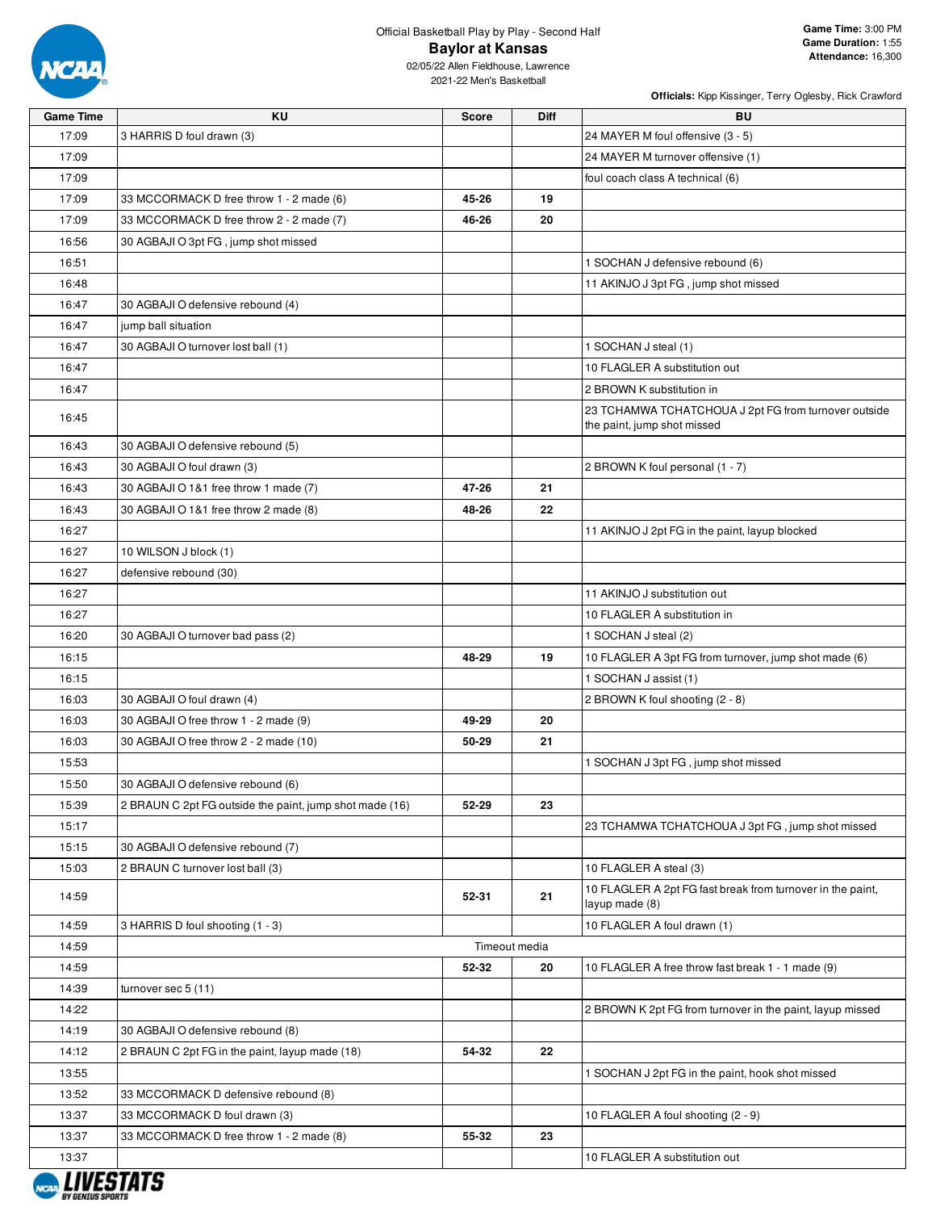

02/05/22 Allen Fieldhouse, Lawrence 2021-22 Men's Basketball

| <b>Game Time</b> | KU                                                      | <b>Score</b> | <b>Diff</b>   | BU                                                                                  |
|------------------|---------------------------------------------------------|--------------|---------------|-------------------------------------------------------------------------------------|
| 17:09            | 3 HARRIS D foul drawn (3)                               |              |               | 24 MAYER M foul offensive (3 - 5)                                                   |
| 17:09            |                                                         |              |               | 24 MAYER M turnover offensive (1)                                                   |
| 17:09            |                                                         |              |               | foul coach class A technical (6)                                                    |
| 17:09            | 33 MCCORMACK D free throw 1 - 2 made (6)                | 45-26        | 19            |                                                                                     |
| 17:09            | 33 MCCORMACK D free throw 2 - 2 made (7)                | 46-26        | 20            |                                                                                     |
| 16:56            | 30 AGBAJI O 3pt FG, jump shot missed                    |              |               |                                                                                     |
| 16:51            |                                                         |              |               | 1 SOCHAN J defensive rebound (6)                                                    |
| 16:48            |                                                         |              |               | 11 AKINJO J 3pt FG, jump shot missed                                                |
| 16:47            | 30 AGBAJI O defensive rebound (4)                       |              |               |                                                                                     |
| 16:47            | jump ball situation                                     |              |               |                                                                                     |
| 16:47            | 30 AGBAJI O turnover lost ball (1)                      |              |               | 1 SOCHAN J steal (1)                                                                |
| 16:47            |                                                         |              |               | 10 FLAGLER A substitution out                                                       |
| 16:47            |                                                         |              |               | 2 BROWN K substitution in                                                           |
| 16:45            |                                                         |              |               | 23 TCHAMWA TCHATCHOUA J 2pt FG from turnover outside<br>the paint, jump shot missed |
| 16:43            | 30 AGBAJI O defensive rebound (5)                       |              |               |                                                                                     |
| 16:43            | 30 AGBAJI O foul drawn (3)                              |              |               | 2 BROWN K foul personal (1 - 7)                                                     |
| 16:43            | 30 AGBAJI O 1&1 free throw 1 made (7)                   | 47-26        | 21            |                                                                                     |
| 16:43            | 30 AGBAJI O 1&1 free throw 2 made (8)                   | 48-26        | 22            |                                                                                     |
| 16:27            |                                                         |              |               | 11 AKINJO J 2pt FG in the paint, layup blocked                                      |
| 16:27            | 10 WILSON J block (1)                                   |              |               |                                                                                     |
| 16:27            | defensive rebound (30)                                  |              |               |                                                                                     |
| 16:27            |                                                         |              |               | 11 AKINJO J substitution out                                                        |
| 16:27            |                                                         |              |               | 10 FLAGLER A substitution in                                                        |
| 16:20            | 30 AGBAJI O turnover bad pass (2)                       |              |               | 1 SOCHAN J steal (2)                                                                |
| 16:15            |                                                         | 48-29        | 19            | 10 FLAGLER A 3pt FG from turnover, jump shot made (6)                               |
| 16:15            |                                                         |              |               | 1 SOCHAN J assist (1)                                                               |
| 16:03            | 30 AGBAJI O foul drawn (4)                              |              |               | 2 BROWN K foul shooting (2 - 8)                                                     |
| 16:03            | 30 AGBAJI O free throw 1 - 2 made (9)                   | 49-29        | 20            |                                                                                     |
| 16:03            | 30 AGBAJI O free throw 2 - 2 made (10)                  | 50-29        | 21            |                                                                                     |
| 15:53            |                                                         |              |               | 1 SOCHAN J 3pt FG, jump shot missed                                                 |
| 15:50            | 30 AGBAJI O defensive rebound (6)                       |              |               |                                                                                     |
| 15:39            | 2 BRAUN C 2pt FG outside the paint, jump shot made (16) | 52-29        | 23            |                                                                                     |
| 15:17            |                                                         |              |               | 23 TCHAMWA TCHATCHOUA J 3pt FG, jump shot missed                                    |
| 15:15            | 30 AGBAJI O defensive rebound (7)                       |              |               |                                                                                     |
| 15:03            | 2 BRAUN C turnover lost ball (3)                        |              |               | 10 FLAGLER A steal (3)                                                              |
| 14:59            |                                                         | 52-31        | 21            | 10 FLAGLER A 2pt FG fast break from turnover in the paint,<br>layup made (8)        |
| 14:59            | 3 HARRIS D foul shooting (1 - 3)                        |              |               | 10 FLAGLER A foul drawn (1)                                                         |
| 14:59            |                                                         |              | Timeout media |                                                                                     |
| 14:59            |                                                         | 52-32        | 20            | 10 FLAGLER A free throw fast break 1 - 1 made (9)                                   |
| 14:39            | turnover sec 5 (11)                                     |              |               |                                                                                     |
| 14:22            |                                                         |              |               | 2 BROWN K 2pt FG from turnover in the paint, layup missed                           |
| 14:19            | 30 AGBAJI O defensive rebound (8)                       |              |               |                                                                                     |
| 14:12            | 2 BRAUN C 2pt FG in the paint, layup made (18)          | 54-32        | 22            |                                                                                     |
| 13:55            |                                                         |              |               | 1 SOCHAN J 2pt FG in the paint, hook shot missed                                    |
| 13:52            | 33 MCCORMACK D defensive rebound (8)                    |              |               |                                                                                     |
| 13:37            | 33 MCCORMACK D foul drawn (3)                           |              |               | 10 FLAGLER A foul shooting (2 - 9)                                                  |
| 13:37            | 33 MCCORMACK D free throw 1 - 2 made (8)                | 55-32        | 23            |                                                                                     |
| 13:37            |                                                         |              |               | 10 FLAGLER A substitution out                                                       |
|                  |                                                         |              |               |                                                                                     |

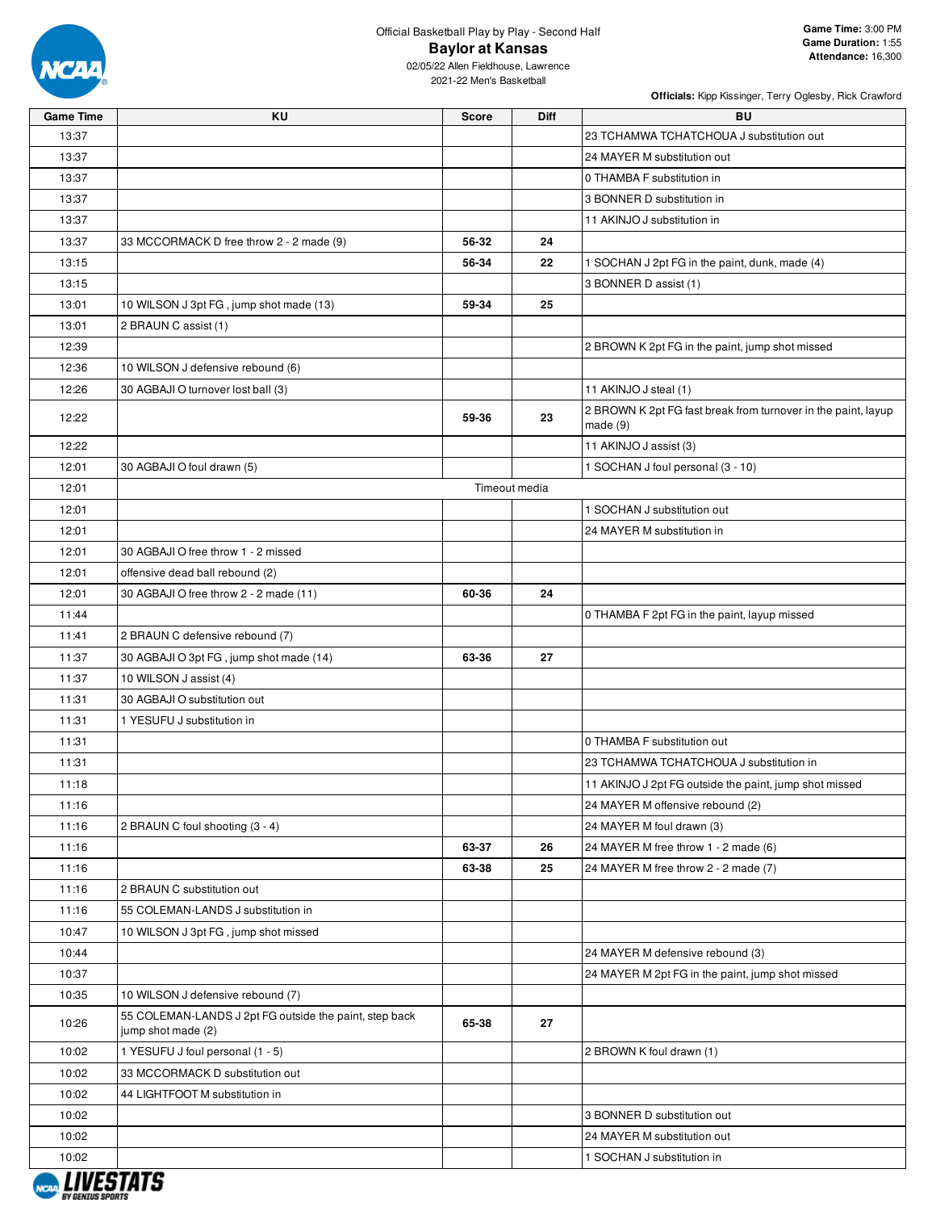

02/05/22 Allen Fieldhouse, Lawrence 2021-22 Men's Basketball

| <b>Game Time</b> | KU                                                                           | <b>Score</b> | <b>Diff</b>   | BU                                                                          |
|------------------|------------------------------------------------------------------------------|--------------|---------------|-----------------------------------------------------------------------------|
| 13:37            |                                                                              |              |               | 23 TCHAMWA TCHATCHOUA J substitution out                                    |
| 13:37            |                                                                              |              |               | 24 MAYER M substitution out                                                 |
| 13:37            |                                                                              |              |               | 0 THAMBA F substitution in                                                  |
| 13:37            |                                                                              |              |               | 3 BONNER D substitution in                                                  |
| 13:37            |                                                                              |              |               | 11 AKINJO J substitution in                                                 |
| 13:37            | 33 MCCORMACK D free throw 2 - 2 made (9)                                     | 56-32        | 24            |                                                                             |
| 13:15            |                                                                              | 56-34        | 22            | 1 SOCHAN J 2pt FG in the paint, dunk, made (4)                              |
| 13:15            |                                                                              |              |               | 3 BONNER D assist (1)                                                       |
| 13:01            | 10 WILSON J 3pt FG, jump shot made (13)                                      | 59-34        | 25            |                                                                             |
| 13:01            | 2 BRAUN C assist (1)                                                         |              |               |                                                                             |
| 12:39            |                                                                              |              |               | 2 BROWN K 2pt FG in the paint, jump shot missed                             |
| 12:36            | 10 WILSON J defensive rebound (6)                                            |              |               |                                                                             |
| 12:26            | 30 AGBAJI O turnover lost ball (3)                                           |              |               | 11 AKINJO J steal (1)                                                       |
| 12:22            |                                                                              | 59-36        | 23            | 2 BROWN K 2pt FG fast break from turnover in the paint, layup<br>made $(9)$ |
| 12:22            |                                                                              |              |               | 11 AKINJO J assist (3)                                                      |
| 12:01            | 30 AGBAJI O foul drawn (5)                                                   |              |               | 1 SOCHAN J foul personal (3 - 10)                                           |
| 12:01            |                                                                              |              | Timeout media |                                                                             |
| 12:01            |                                                                              |              |               | 1 SOCHAN J substitution out                                                 |
| 12:01            |                                                                              |              |               | 24 MAYER M substitution in                                                  |
| 12:01            | 30 AGBAJI O free throw 1 - 2 missed                                          |              |               |                                                                             |
| 12:01            | offensive dead ball rebound (2)                                              |              |               |                                                                             |
| 12:01            | 30 AGBAJI O free throw 2 - 2 made (11)                                       | 60-36        | 24            |                                                                             |
| 11:44            |                                                                              |              |               | 0 THAMBA F 2pt FG in the paint, layup missed                                |
| 11:41            | 2 BRAUN C defensive rebound (7)                                              |              |               |                                                                             |
| 11:37            | 30 AGBAJI O 3pt FG, jump shot made (14)                                      | 63-36        | 27            |                                                                             |
| 11:37            | 10 WILSON J assist (4)                                                       |              |               |                                                                             |
| 11:31            | 30 AGBAJI O substitution out                                                 |              |               |                                                                             |
| 11:31            | 1 YESUFU J substitution in                                                   |              |               |                                                                             |
| 11:31            |                                                                              |              |               | 0 THAMBA F substitution out                                                 |
| 11:31            |                                                                              |              |               | 23 TCHAMWA TCHATCHOUA J substitution in                                     |
| 11:18            |                                                                              |              |               | 11 AKINJO J 2pt FG outside the paint, jump shot missed                      |
| 11:16            |                                                                              |              |               | 24 MAYER M offensive rebound (2)                                            |
| 11:16            | 2 BRAUN C foul shooting (3 - 4)                                              |              |               | 24 MAYER M foul drawn (3)                                                   |
| 11:16            |                                                                              | 63-37        | 26            | 24 MAYER M free throw 1 - 2 made (6)                                        |
| 11:16            |                                                                              | 63-38        | 25            | 24 MAYER M free throw 2 - 2 made (7)                                        |
| 11:16            | 2 BRAUN C substitution out                                                   |              |               |                                                                             |
| 11:16            | 55 COLEMAN-LANDS J substitution in                                           |              |               |                                                                             |
| 10:47            | 10 WILSON J 3pt FG, jump shot missed                                         |              |               |                                                                             |
| 10:44            |                                                                              |              |               | 24 MAYER M defensive rebound (3)                                            |
| 10:37            |                                                                              |              |               | 24 MAYER M 2pt FG in the paint, jump shot missed                            |
| 10:35            | 10 WILSON J defensive rebound (7)                                            |              |               |                                                                             |
| 10:26            | 55 COLEMAN-LANDS J 2pt FG outside the paint, step back<br>jump shot made (2) | 65-38        | 27            |                                                                             |
| 10:02            | 1 YESUFU J foul personal (1 - 5)                                             |              |               | 2 BROWN K foul drawn (1)                                                    |
| 10:02            | 33 MCCORMACK D substitution out                                              |              |               |                                                                             |
| 10:02            | 44 LIGHTFOOT M substitution in                                               |              |               |                                                                             |
| 10:02            |                                                                              |              |               | 3 BONNER D substitution out                                                 |
| 10:02            |                                                                              |              |               | 24 MAYER M substitution out                                                 |
| 10:02            |                                                                              |              |               | 1 SOCHAN J substitution in                                                  |
|                  |                                                                              |              |               |                                                                             |

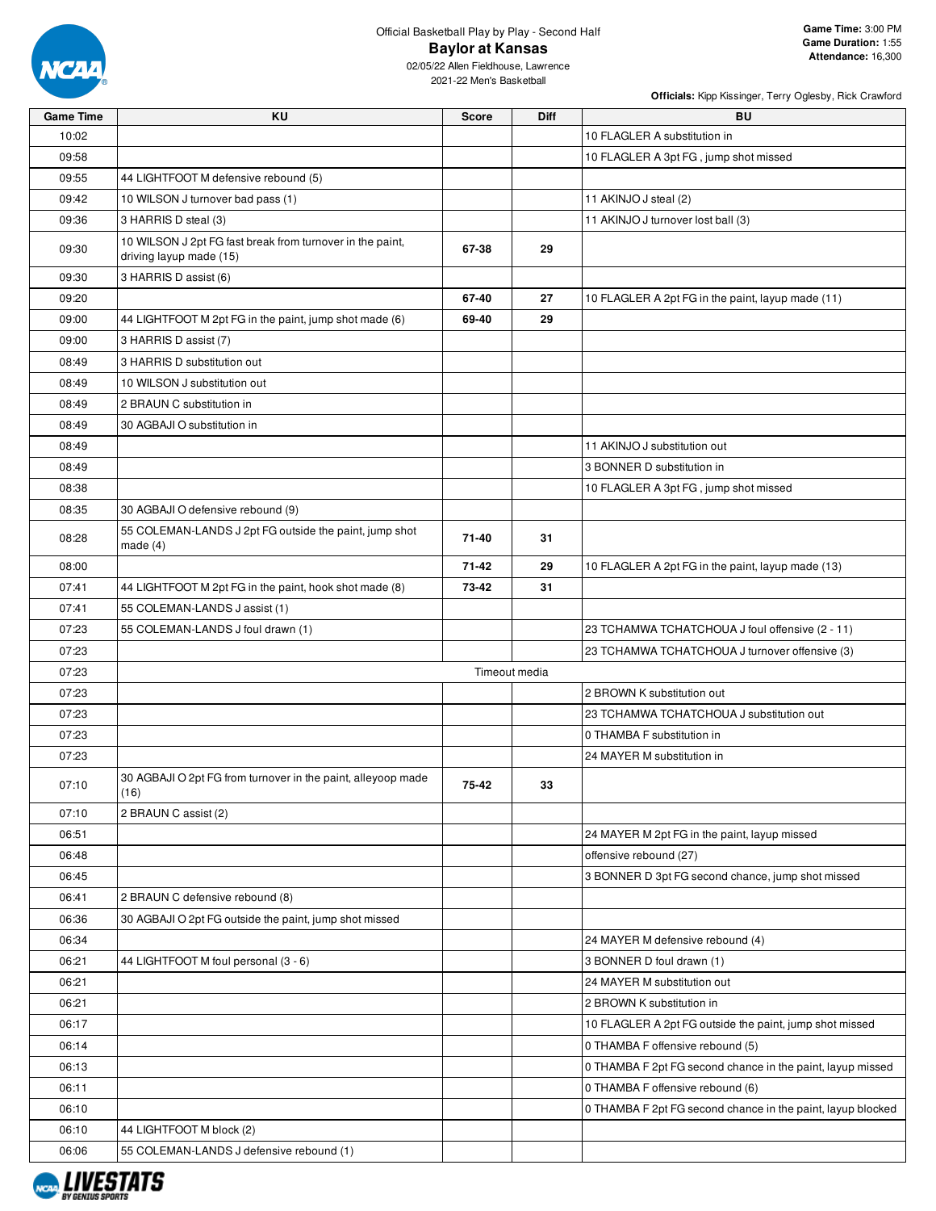

Official Basketball Play by Play - Second Half **Baylor at Kansas**

02/05/22 Allen Fieldhouse, Lawrence 2021-22 Men's Basketball

| <b>Game Time</b> | ΚU                                                                                   | <b>Score</b> | Diff          | BU                                                          |
|------------------|--------------------------------------------------------------------------------------|--------------|---------------|-------------------------------------------------------------|
| 10:02            |                                                                                      |              |               | 10 FLAGLER A substitution in                                |
| 09:58            |                                                                                      |              |               | 10 FLAGLER A 3pt FG, jump shot missed                       |
| 09:55            | 44 LIGHTFOOT M defensive rebound (5)                                                 |              |               |                                                             |
| 09:42            | 10 WILSON J turnover bad pass (1)                                                    |              |               | 11 AKINJO J steal (2)                                       |
| 09:36            | 3 HARRIS D steal (3)                                                                 |              |               | 11 AKINJO J turnover lost ball (3)                          |
| 09:30            | 10 WILSON J 2pt FG fast break from turnover in the paint,<br>driving layup made (15) | 67-38        | 29            |                                                             |
| 09:30            | 3 HARRIS D assist (6)                                                                |              |               |                                                             |
| 09:20            |                                                                                      | 67-40        | 27            | 10 FLAGLER A 2pt FG in the paint, layup made (11)           |
| 09:00            | 44 LIGHTFOOT M 2pt FG in the paint, jump shot made (6)                               | 69-40        | 29            |                                                             |
| 09:00            | 3 HARRIS D assist (7)                                                                |              |               |                                                             |
| 08:49            | 3 HARRIS D substitution out                                                          |              |               |                                                             |
| 08:49            | 10 WILSON J substitution out                                                         |              |               |                                                             |
| 08:49            | 2 BRAUN C substitution in                                                            |              |               |                                                             |
| 08:49            | 30 AGBAJI O substitution in                                                          |              |               |                                                             |
| 08:49            |                                                                                      |              |               | 11 AKINJO J substitution out                                |
| 08:49            |                                                                                      |              |               | 3 BONNER D substitution in                                  |
| 08:38            |                                                                                      |              |               | 10 FLAGLER A 3pt FG, jump shot missed                       |
| 08:35            | 30 AGBAJI O defensive rebound (9)                                                    |              |               |                                                             |
| 08:28            | 55 COLEMAN-LANDS J 2pt FG outside the paint, jump shot<br>made $(4)$                 | 71-40        | 31            |                                                             |
| 08:00            |                                                                                      | 71-42        | 29            | 10 FLAGLER A 2pt FG in the paint, layup made (13)           |
| 07:41            | 44 LIGHTFOOT M 2pt FG in the paint, hook shot made (8)                               | 73-42        | 31            |                                                             |
| 07:41            | 55 COLEMAN-LANDS J assist (1)                                                        |              |               |                                                             |
| 07:23            | 55 COLEMAN-LANDS J foul drawn (1)                                                    |              |               | 23 TCHAMWA TCHATCHOUA J foul offensive (2 - 11)             |
| 07:23            |                                                                                      |              |               | 23 TCHAMWA TCHATCHOUA J turnover offensive (3)              |
| 07:23            |                                                                                      |              | Timeout media |                                                             |
| 07:23            |                                                                                      |              |               | 2 BROWN K substitution out                                  |
| 07:23            |                                                                                      |              |               | 23 TCHAMWA TCHATCHOUA J substitution out                    |
| 07:23            |                                                                                      |              |               | 0 THAMBA F substitution in                                  |
| 07:23            |                                                                                      |              |               | 24 MAYER M substitution in                                  |
| 07:10            | 30 AGBAJI O 2pt FG from turnover in the paint, alleyoop made<br>(16)                 | 75-42        | 33            |                                                             |
| 07:10            | 2 BRAUN C assist (2)                                                                 |              |               |                                                             |
| 06:51            |                                                                                      |              |               | 24 MAYER M 2pt FG in the paint, layup missed                |
| 06:48            |                                                                                      |              |               | offensive rebound (27)                                      |
| 06:45            |                                                                                      |              |               | 3 BONNER D 3pt FG second chance, jump shot missed           |
| 06:41            | 2 BRAUN C defensive rebound (8)                                                      |              |               |                                                             |
| 06:36            | 30 AGBAJI O 2pt FG outside the paint, jump shot missed                               |              |               |                                                             |
| 06:34            |                                                                                      |              |               | 24 MAYER M defensive rebound (4)                            |
| 06:21            | 44 LIGHTFOOT M foul personal (3 - 6)                                                 |              |               | 3 BONNER D foul drawn (1)                                   |
| 06:21            |                                                                                      |              |               | 24 MAYER M substitution out                                 |
| 06:21            |                                                                                      |              |               | 2 BROWN K substitution in                                   |
| 06:17            |                                                                                      |              |               | 10 FLAGLER A 2pt FG outside the paint, jump shot missed     |
| 06:14            |                                                                                      |              |               | 0 THAMBA F offensive rebound (5)                            |
| 06:13            |                                                                                      |              |               | 0 THAMBA F 2pt FG second chance in the paint, layup missed  |
| 06:11            |                                                                                      |              |               | 0 THAMBA F offensive rebound (6)                            |
| 06:10            |                                                                                      |              |               | 0 THAMBA F 2pt FG second chance in the paint, layup blocked |
| 06:10            | 44 LIGHTFOOT M block (2)                                                             |              |               |                                                             |
| 06:06            | 55 COLEMAN-LANDS J defensive rebound (1)                                             |              |               |                                                             |
|                  |                                                                                      |              |               |                                                             |

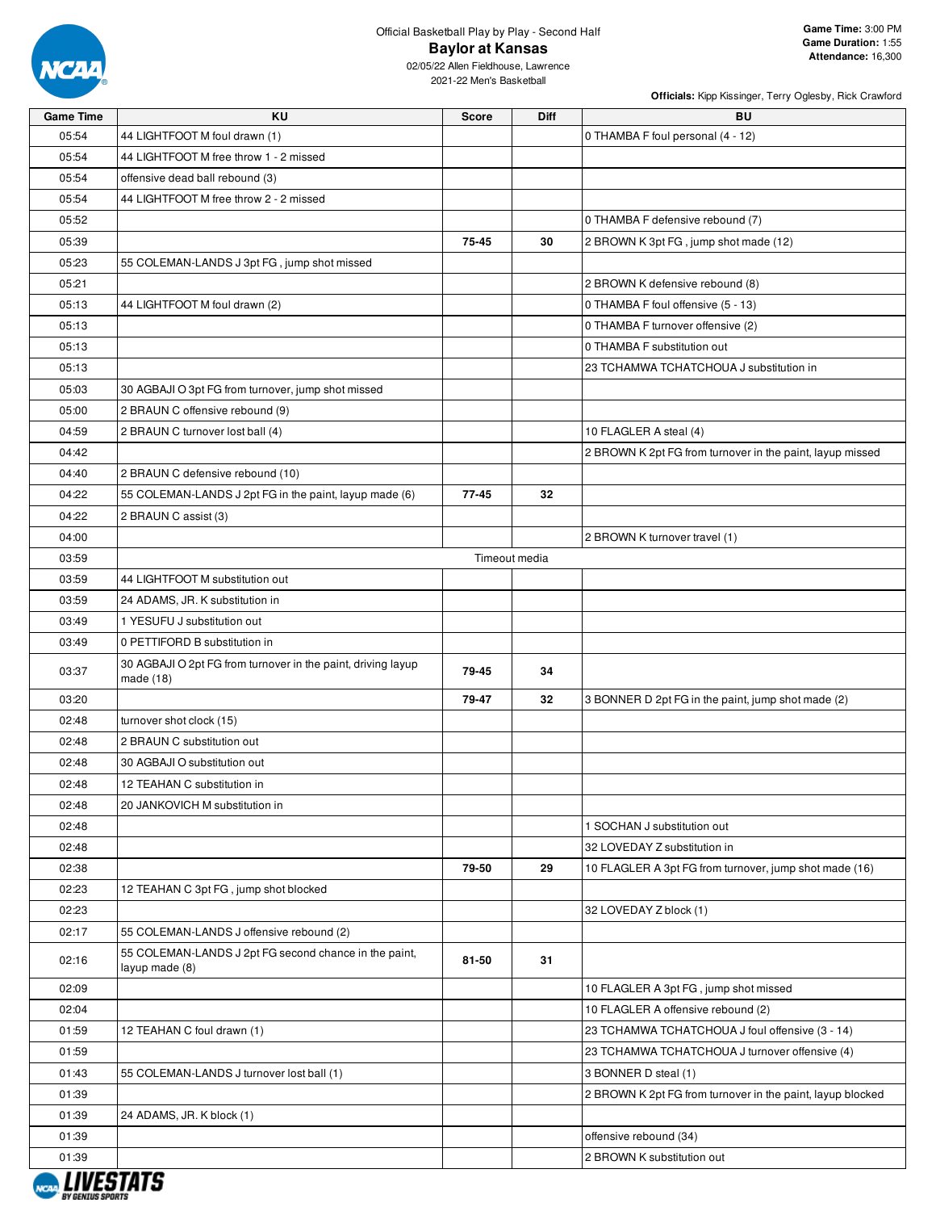

#### Official Basketball Play by Play - Second Half **Baylor at Kansas**

02/05/22 Allen Fieldhouse, Lawrence 2021-22 Men's Basketball

| <b>Game Time</b> | ΚU                                                                        | <b>Score</b> | <b>Diff</b>   | <b>BU</b>                                                  |
|------------------|---------------------------------------------------------------------------|--------------|---------------|------------------------------------------------------------|
| 05:54            | 44 LIGHTFOOT M foul drawn (1)                                             |              |               | 0 THAMBA F foul personal (4 - 12)                          |
| 05:54            | 44 LIGHTFOOT M free throw 1 - 2 missed                                    |              |               |                                                            |
| 05:54            | offensive dead ball rebound (3)                                           |              |               |                                                            |
| 05:54            | 44 LIGHTFOOT M free throw 2 - 2 missed                                    |              |               |                                                            |
| 05:52            |                                                                           |              |               | 0 THAMBA F defensive rebound (7)                           |
| 05:39            |                                                                           | 75-45        | 30            | 2 BROWN K 3pt FG, jump shot made (12)                      |
| 05:23            | 55 COLEMAN-LANDS J 3pt FG, jump shot missed                               |              |               |                                                            |
| 05:21            |                                                                           |              |               | 2 BROWN K defensive rebound (8)                            |
| 05:13            | 44 LIGHTFOOT M foul drawn (2)                                             |              |               | 0 THAMBA F foul offensive (5 - 13)                         |
| 05:13            |                                                                           |              |               | 0 THAMBA F turnover offensive (2)                          |
| 05:13            |                                                                           |              |               | 0 THAMBA F substitution out                                |
| 05:13            |                                                                           |              |               | 23 TCHAMWA TCHATCHOUA J substitution in                    |
| 05:03            | 30 AGBAJI O 3pt FG from turnover, jump shot missed                        |              |               |                                                            |
| 05:00            | 2 BRAUN C offensive rebound (9)                                           |              |               |                                                            |
| 04:59            | 2 BRAUN C turnover lost ball (4)                                          |              |               | 10 FLAGLER A steal (4)                                     |
| 04:42            |                                                                           |              |               | 2 BROWN K 2pt FG from turnover in the paint, layup missed  |
| 04:40            | 2 BRAUN C defensive rebound (10)                                          |              |               |                                                            |
| 04:22            | 55 COLEMAN-LANDS J 2pt FG in the paint, layup made (6)                    | 77-45        | 32            |                                                            |
| 04:22            | 2 BRAUN C assist (3)                                                      |              |               |                                                            |
| 04:00            |                                                                           |              |               | 2 BROWN K turnover travel (1)                              |
| 03:59            |                                                                           |              | Timeout media |                                                            |
| 03:59            | 44 LIGHTFOOT M substitution out                                           |              |               |                                                            |
| 03:59            | 24 ADAMS, JR. K substitution in                                           |              |               |                                                            |
| 03:49            | 1 YESUFU J substitution out                                               |              |               |                                                            |
| 03:49            | 0 PETTIFORD B substitution in                                             |              |               |                                                            |
| 03:37            | 30 AGBAJI O 2pt FG from turnover in the paint, driving layup<br>made (18) | 79-45        | 34            |                                                            |
| 03:20            |                                                                           | 79-47        | 32            | 3 BONNER D 2pt FG in the paint, jump shot made (2)         |
| 02:48            | turnover shot clock (15)                                                  |              |               |                                                            |
| 02:48            | 2 BRAUN C substitution out                                                |              |               |                                                            |
| 02:48            | 30 AGBAJI O substitution out                                              |              |               |                                                            |
| 02:48            | 12 TEAHAN C substitution in                                               |              |               |                                                            |
| 02:48            | 20 JANKOVICH M substitution in                                            |              |               |                                                            |
| 02:48            |                                                                           |              |               | 1 SOCHAN J substitution out                                |
| 02:48            |                                                                           |              |               | 32 LOVEDAY Z substitution in                               |
| 02:38            |                                                                           | 79-50        | 29            | 10 FLAGLER A 3pt FG from turnover, jump shot made (16)     |
| 02:23            | 12 TEAHAN C 3pt FG, jump shot blocked                                     |              |               |                                                            |
| 02:23            |                                                                           |              |               | 32 LOVEDAY Z block (1)                                     |
| 02:17            | 55 COLEMAN-LANDS J offensive rebound (2)                                  |              |               |                                                            |
| 02:16            | 55 COLEMAN-LANDS J 2pt FG second chance in the paint,<br>layup made (8)   | 81-50        | 31            |                                                            |
| 02:09            |                                                                           |              |               | 10 FLAGLER A 3pt FG, jump shot missed                      |
| 02:04            |                                                                           |              |               | 10 FLAGLER A offensive rebound (2)                         |
| 01:59            | 12 TEAHAN C foul drawn (1)                                                |              |               | 23 TCHAMWA TCHATCHOUA J foul offensive (3 - 14)            |
| 01:59            |                                                                           |              |               | 23 TCHAMWA TCHATCHOUA J turnover offensive (4)             |
| 01:43            | 55 COLEMAN-LANDS J turnover lost ball (1)                                 |              |               | 3 BONNER D steal (1)                                       |
| 01:39            |                                                                           |              |               | 2 BROWN K 2pt FG from turnover in the paint, layup blocked |
| 01:39            | 24 ADAMS, JR. K block (1)                                                 |              |               |                                                            |
| 01:39            |                                                                           |              |               | offensive rebound (34)                                     |
| 01:39            |                                                                           |              |               | 2 BROWN K substitution out                                 |
|                  |                                                                           |              |               |                                                            |

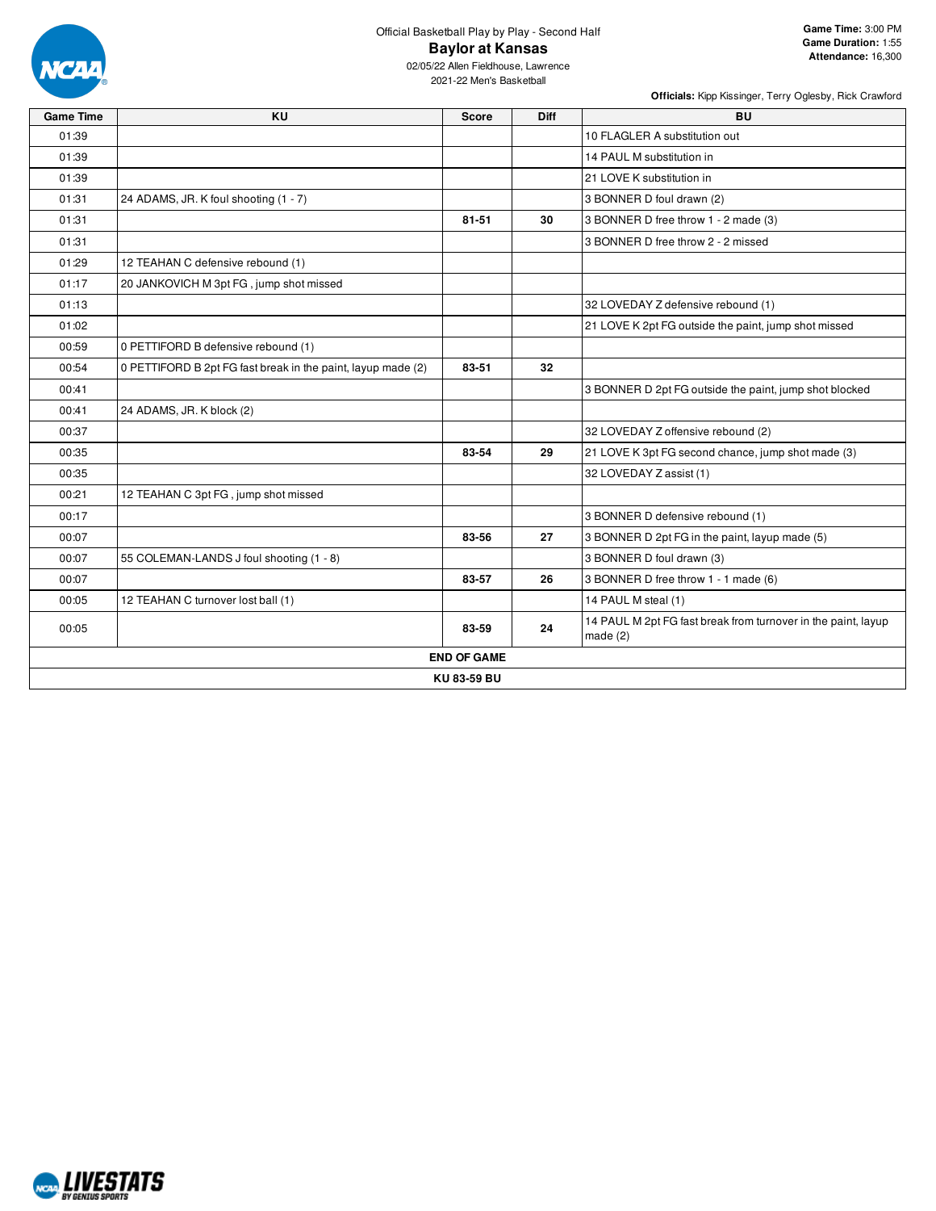

Official Basketball Play by Play - Second Half **Baylor at Kansas**

02/05/22 Allen Fieldhouse, Lawrence 2021-22 Men's Basketball

| <b>Game Time</b> | <b>KU</b><br><b>Diff</b><br><b>BU</b><br><b>Score</b><br>10 FLAGLER A substitution out<br>14 PAUL M substitution in<br>21 LOVE K substitution in<br>24 ADAMS, JR. K foul shooting (1 - 7)<br>3 BONNER D foul drawn (2)<br>81-51<br>30<br>12 TEAHAN C defensive rebound (1)<br>20 JANKOVICH M 3pt FG, jump shot missed<br>0 PETTIFORD B defensive rebound (1)<br>32<br>0 PETTIFORD B 2pt FG fast break in the paint, layup made (2)<br>83-51<br>24 ADAMS, JR. K block (2) |                    |    |                                                                          |  |  |
|------------------|--------------------------------------------------------------------------------------------------------------------------------------------------------------------------------------------------------------------------------------------------------------------------------------------------------------------------------------------------------------------------------------------------------------------------------------------------------------------------|--------------------|----|--------------------------------------------------------------------------|--|--|
| 01:39            |                                                                                                                                                                                                                                                                                                                                                                                                                                                                          |                    |    |                                                                          |  |  |
| 01:39            |                                                                                                                                                                                                                                                                                                                                                                                                                                                                          |                    |    |                                                                          |  |  |
| 01:39            |                                                                                                                                                                                                                                                                                                                                                                                                                                                                          |                    |    |                                                                          |  |  |
| 01:31            |                                                                                                                                                                                                                                                                                                                                                                                                                                                                          |                    |    |                                                                          |  |  |
| 01:31            |                                                                                                                                                                                                                                                                                                                                                                                                                                                                          |                    |    | 3 BONNER D free throw 1 - 2 made (3)                                     |  |  |
| 01:31            |                                                                                                                                                                                                                                                                                                                                                                                                                                                                          |                    |    | 3 BONNER D free throw 2 - 2 missed                                       |  |  |
| 01:29            |                                                                                                                                                                                                                                                                                                                                                                                                                                                                          |                    |    |                                                                          |  |  |
| 01:17            |                                                                                                                                                                                                                                                                                                                                                                                                                                                                          |                    |    |                                                                          |  |  |
| 01:13            |                                                                                                                                                                                                                                                                                                                                                                                                                                                                          |                    |    | 32 LOVEDAY Z defensive rebound (1)                                       |  |  |
| 01:02            |                                                                                                                                                                                                                                                                                                                                                                                                                                                                          |                    |    | 21 LOVE K 2pt FG outside the paint, jump shot missed                     |  |  |
| 00:59            |                                                                                                                                                                                                                                                                                                                                                                                                                                                                          |                    |    |                                                                          |  |  |
| 00:54            |                                                                                                                                                                                                                                                                                                                                                                                                                                                                          |                    |    |                                                                          |  |  |
| 00:41            |                                                                                                                                                                                                                                                                                                                                                                                                                                                                          |                    |    | 3 BONNER D 2pt FG outside the paint, jump shot blocked                   |  |  |
| 00:41            |                                                                                                                                                                                                                                                                                                                                                                                                                                                                          |                    |    |                                                                          |  |  |
| 00:37            |                                                                                                                                                                                                                                                                                                                                                                                                                                                                          |                    |    | 32 LOVEDAY Z offensive rebound (2)                                       |  |  |
| 00:35            |                                                                                                                                                                                                                                                                                                                                                                                                                                                                          | 83-54              | 29 | 21 LOVE K 3pt FG second chance, jump shot made (3)                       |  |  |
| 00:35            |                                                                                                                                                                                                                                                                                                                                                                                                                                                                          |                    |    | 32 LOVEDAY Z assist (1)                                                  |  |  |
| 00:21            | 12 TEAHAN C 3pt FG, jump shot missed                                                                                                                                                                                                                                                                                                                                                                                                                                     |                    |    |                                                                          |  |  |
| 00:17            |                                                                                                                                                                                                                                                                                                                                                                                                                                                                          |                    |    | 3 BONNER D defensive rebound (1)                                         |  |  |
| 00:07            |                                                                                                                                                                                                                                                                                                                                                                                                                                                                          | 83-56              | 27 | 3 BONNER D 2pt FG in the paint, layup made (5)                           |  |  |
| 00:07            | 55 COLEMAN-LANDS J foul shooting (1 - 8)                                                                                                                                                                                                                                                                                                                                                                                                                                 |                    |    | 3 BONNER D foul drawn (3)                                                |  |  |
| 00:07            |                                                                                                                                                                                                                                                                                                                                                                                                                                                                          | 83-57              | 26 | 3 BONNER D free throw 1 - 1 made (6)                                     |  |  |
| 00:05            | 12 TEAHAN C turnover lost ball (1)                                                                                                                                                                                                                                                                                                                                                                                                                                       |                    |    | 14 PAUL M steal (1)                                                      |  |  |
| 00:05            |                                                                                                                                                                                                                                                                                                                                                                                                                                                                          | 83-59              | 24 | 14 PAUL M 2pt FG fast break from turnover in the paint, layup<br>made(2) |  |  |
|                  |                                                                                                                                                                                                                                                                                                                                                                                                                                                                          | <b>END OF GAME</b> |    |                                                                          |  |  |
|                  |                                                                                                                                                                                                                                                                                                                                                                                                                                                                          | KU83-59 BU         |    |                                                                          |  |  |

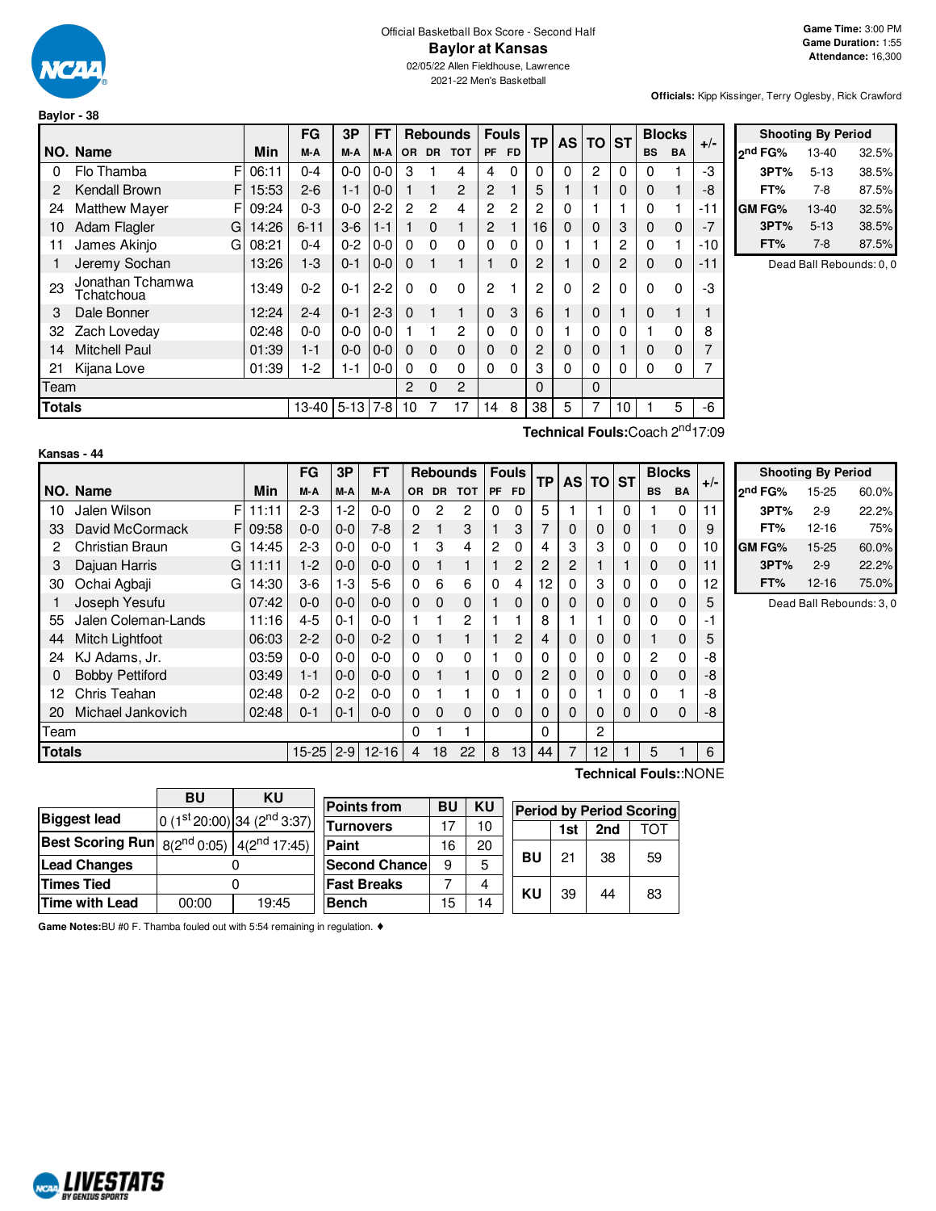

# Official Basketball Box Score - Second Half **Baylor at Kansas**

02/05/22 Allen Fieldhouse, Lawrence 2021-22 Men's Basketball

**Officials:** Kipp Kissinger, Terry Oglesby, Rick Crawford

| Baylor - 38   |                                |   |           |           |         |           |                |                |                 |                |              |              |           |                |                |           |               |       |
|---------------|--------------------------------|---|-----------|-----------|---------|-----------|----------------|----------------|-----------------|----------------|--------------|--------------|-----------|----------------|----------------|-----------|---------------|-------|
|               |                                |   |           | <b>FG</b> | 3P      | <b>FT</b> |                |                | <b>Rebounds</b> |                | <b>Fouls</b> | <b>TP</b>    | <b>AS</b> | l TO           | <b>ST</b>      |           | <b>Blocks</b> | $+/-$ |
|               | NO. Name                       |   | Min       | M-A       | M-A     | M-A       | <b>OR</b>      | <b>DR</b>      | <b>TOT</b>      | <b>PF</b>      | <b>FD</b>    |              |           |                |                | <b>BS</b> | <b>BA</b>     |       |
| 0             | Flo Thamba                     | F | 06:11     | $0 - 4$   | $0-0$   | $0-0$     | 3              |                | 4               | 4              | 0            | $\mathbf{0}$ | $\Omega$  | $\overline{2}$ | $\Omega$       | 0         |               | -3    |
| 2             | Kendall Brown                  | F | 15:53     | $2 - 6$   | $1 - 1$ | $0 - 0$   | $\mathbf{1}$   |                | $\overline{2}$  | 2              |              | 5            |           |                | 0              | 0         |               | -8    |
| 24            | <b>Matthew Mayer</b>           | F | 09:24     | $0 - 3$   | $0-0$   | $2 - 2$   | $\overline{c}$ | $\overline{2}$ | 4               | $\overline{2}$ | 2            | 2            | 0         |                |                | 0         | 1             | -11   |
| 10            | Adam Flagler                   | G | 14:26     | $6 - 11$  | $3-6$   | $1 - 1$   | 1.             | $\Omega$       |                 | 2              |              | 16           | 0         | $\Omega$       | 3              | $\Omega$  | $\mathbf 0$   | $-7$  |
| 11            | James Akinjo                   | G | 08:21     | $0 - 4$   | $0 - 2$ | $0-0$     | $\Omega$       | $\Omega$       | $\Omega$        | $\Omega$       | 0            | 0            |           |                | 2              | 0         | 1             | -10   |
| 1             | Jeremy Sochan                  |   | 13:26     | $1-3$     | $0 - 1$ | $0 - 0$   | $\Omega$       | 1              |                 |                | $\mathbf{0}$ | 2            |           | $\Omega$       | $\overline{c}$ | 0         | $\mathbf 0$   | -11   |
| 23            | Jonathan Tchamwa<br>Tchatchoua |   | 13:49     | $0 - 2$   | $0 - 1$ | $2 - 2$   | $\Omega$       | $\Omega$       | $\Omega$        | 2              |              | 2            | 0         | 2              | $\Omega$       | $\Omega$  | $\Omega$      | -3    |
| 3             | Dale Bonner                    |   | 12:24     | $2 - 4$   | $0 - 1$ | $2-3$     | $\Omega$       |                | 1               | 0              | 3            | 6            |           | $\Omega$       |                | 0         |               |       |
| 32            | Zach Loveday                   |   | 02:48     | $0 - 0$   | $0 - 0$ | $0-0$     |                |                | $\overline{2}$  | $\Omega$       | 0            | 0            |           | 0              | 0              |           | $\Omega$      | 8     |
| 14            | <b>Mitchell Paul</b>           |   | 01:39     | $1 - 1$   | $0 - 0$ | $0-0$     | $\Omega$       | $\Omega$       | $\Omega$        | $\Omega$       | 0            | 2            | 0         | 0              |                | $\Omega$  | $\mathbf 0$   |       |
| 21            | Kijana Love                    |   | 01:39     | $1-2$     | 1-1     | $0 - 0$   | 0              | $\Omega$       | $\Omega$        | 0              | 0            | 3            | 0         | 0              | 0              | 0         | $\Omega$      |       |
|               | Team                           |   |           |           |         |           | 2              | $\Omega$       | $\overline{2}$  |                |              | $\Omega$     |           | $\Omega$       |                |           |               |       |
| <b>Totals</b> |                                |   | $13 - 40$ | $5 - 13$  | $7 - 8$ | 10        |                | 17             | 14              | 8              | 38           | 5            |           | 10             |                | 5         | -6            |       |

|               | <b>Shooting By Period</b> |       |
|---------------|---------------------------|-------|
| ond FG%       | 13-40                     | 32.5% |
| 3PT%          | $5 - 13$                  | 38.5% |
| FT%           | 7-8                       | 87.5% |
| <b>GM FG%</b> | 13-40                     | 32.5% |
| 3PT%          | $5 - 13$                  | 38.5% |
| FT%           | $7-8$                     | 87.5% |

Dead Ball Rebounds: 0, 0

| Kansas - 44 |  |  |
|-------------|--|--|
|             |  |  |

**Biggest** lead

**Best Scoring Run** 

**Technical Fouls:**Coach 2 nd17:09

|               |                        |       | FG        | 3P      | <b>FT</b> |                |              | <b>Rebounds</b> |           | <b>Fouls</b> | <b>TP</b>      | <b>AS</b> | <b>TO</b> | <b>ST</b> |                | <b>Blocks</b> | $+/-$ |                 |
|---------------|------------------------|-------|-----------|---------|-----------|----------------|--------------|-----------------|-----------|--------------|----------------|-----------|-----------|-----------|----------------|---------------|-------|-----------------|
|               | NO. Name               | Min   | M-A       | M-A     | M-A       | <b>OR</b>      | <b>DR</b>    | <b>TOT</b>      | <b>PF</b> | <b>FD</b>    |                |           |           |           | <b>BS</b>      | BA            |       | l2 <sup>n</sup> |
| 10            | FI<br>Jalen Wilson     | 11:11 | $2 - 3$   | $1-2$   | $0-0$     | 0              | $\mathbf{2}$ | 2               | 0         | 0            | 5              |           |           | $\Omega$  |                | $\Omega$      | 11    |                 |
| 33            | David McCormack<br>FI  | 09:58 | $0 - 0$   | $0-0$   | $7-8$     | $\overline{2}$ |              | 3               |           | 3            | 7              | 0         | 0         | 0         |                | 0             | 9     |                 |
| 2             | Christian Braun<br>GI  | 14:45 | $2 - 3$   | $0 - 0$ | $0-0$     |                | 3            | 4               | 2         | 0            | 4              | 3         | 3         | $\Omega$  | $\Omega$       | $\Omega$      | 10    | GI              |
| 3             | Dajuan Harris<br>G     | 11:11 | $1-2$     | $0 - 0$ | $0 - 0$   | $\Omega$       |              | $\mathbf{1}$    |           | 2            | $\overline{c}$ | 2         |           |           | $\Omega$       | $\Omega$      | 11    |                 |
| 30            | Ochai Agbaji<br>GI     | 14:30 | $3-6$     | $1-3$   | $5-6$     | $\Omega$       | 6            | 6               | 0         | 4            | 12             | 0         | 3         |           | 0              | 0             | 12    |                 |
|               | Joseph Yesufu          | 07:42 | $0 - 0$   | $0 - 0$ | $0 - 0$   | $\Omega$       | $\Omega$     | $\Omega$        |           | $\Omega$     | $\Omega$       | 0         | 0         | 0         | 0              | 0             | 5     |                 |
| 55            | Jalen Coleman-Lands    | 11:16 | $4 - 5$   | $0 - 1$ | $0 - 0$   |                |              | 2               |           |              | 8              |           |           | $\Omega$  | 0              | 0             | $-1$  |                 |
| 44            | <b>Mitch Lightfoot</b> | 06:03 | $2 - 2$   | $0-0$   | $0 - 2$   | $\Omega$       |              | 1               |           | 2            | 4              | 0         | 0         | 0         |                | 0             | 5     |                 |
| 24            | KJ Adams, Jr.          | 03:59 | $0 - 0$   | $0 - 0$ | $0-0$     | $\Omega$       | $\Omega$     | $\Omega$        |           | $\mathbf{0}$ | 0              | 0         | 0         | $\Omega$  | $\overline{2}$ | 0             | -8    |                 |
| 0             | <b>Bobby Pettiford</b> | 03:49 | $1 - 1$   | $0 - 0$ | $0 - 0$   | $\Omega$       |              | 1               | 0         | 0            | 2              | 0         | 0         | $\Omega$  | $\Omega$       | 0             | -8    |                 |
| 12            | Chris Teahan           | 02:48 | $0 - 2$   | $0 - 2$ | $0-0$     | $\Omega$       |              |                 | 0         |              | $\mathbf 0$    | 0         |           |           | 0              |               | -8    |                 |
| 20            | Michael Jankovich      | 02:48 | $0 - 1$   | $0 - 1$ | $0 - 0$   | $\Omega$       | $\Omega$     | 0               | $\Omega$  | 0            | $\Omega$       | 0         | 0         | $\Omega$  | 0              | 0             | -8    |                 |
| Team          |                        |       |           |         |           | $\Omega$       |              |                 |           |              | 0              |           | 2         |           |                |               |       |                 |
| <b>Totals</b> |                        |       | $15 - 25$ | $2 - 9$ | $12 - 16$ | 4              | 18           | 22              | 8         | 13           | 44             | 7         | 12        |           | 5              |               | 6     |                 |

|                     | <b>Shooting By Period</b> |       |
|---------------------|---------------------------|-------|
| 2 <sup>nd</sup> FG% | $15 - 25$                 | 60.0% |
| 3PT%                | $2-9$                     | 22.2% |
| FT%                 | 12-16                     | 75%   |
| GM FG%              | 15-25                     | 60.0% |
| 3PT%                | $2-9$                     | 22.2% |
| FT%                 | 12-16                     | 75.0% |

Dead Ball Rebounds: 3, 0

**Lead Changes** 0 **Times Tied** 0 **Time with Lead** 00:00 19:45 **Bench** 15 14 **Technical Fouls:**:NONE

**Game Notes:**BU #0 F. Thamba fouled out with 5:54 remaining in regulation. ♦

 $8(2^{nd} 0:05)$ 



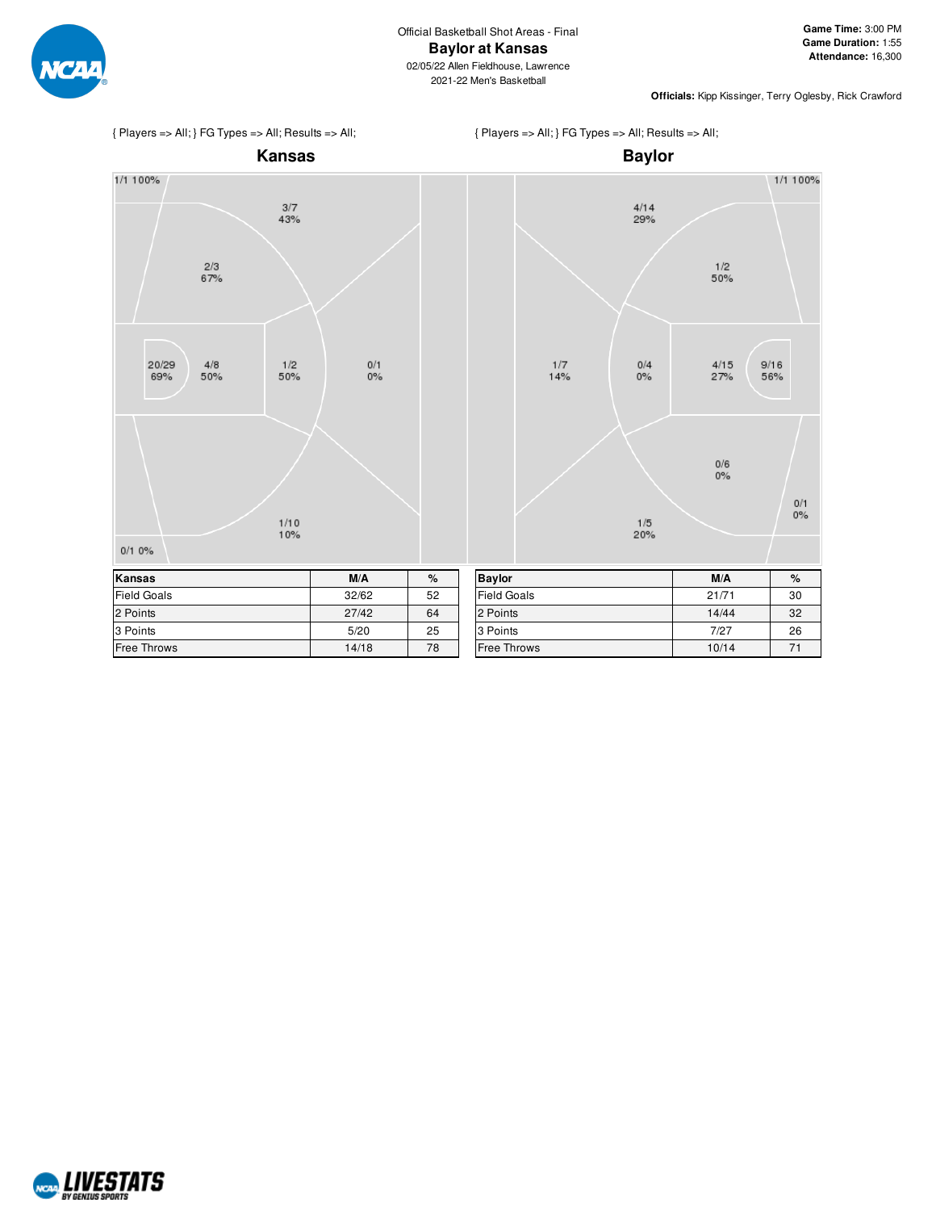

1/1 100%

**Officials:** Kipp Kissinger, Terry Oglesby, Rick Crawford



 $\frac{2/3}{67%}$ 

 $\frac{4/8}{50\%}$ 

20/29

69%

 $0/10\%$ 



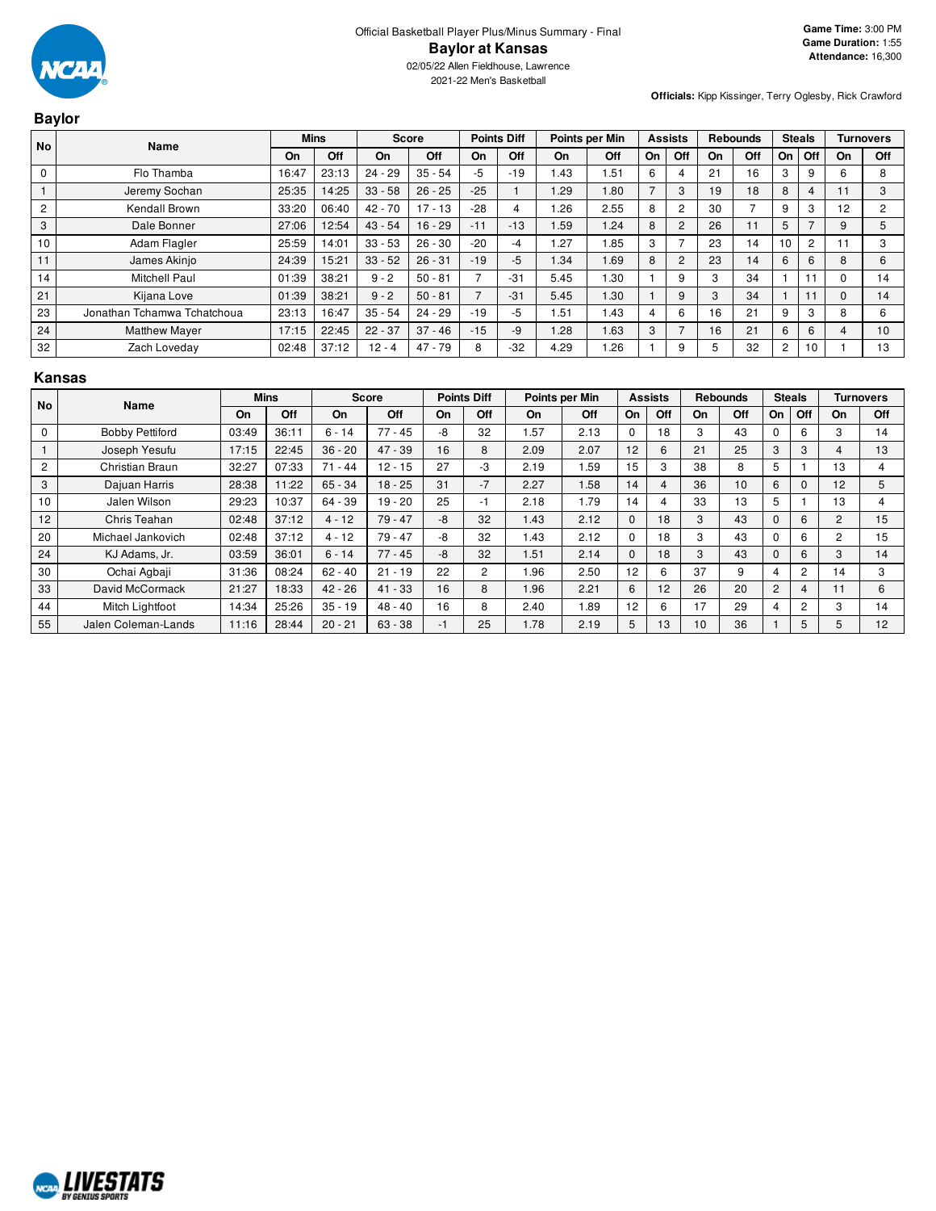

**Baylor**

2021-22 Men's Basketball

**Officials:** Kipp Kissinger, Terry Oglesby, Rick Crawford

| No             | Name                        | <b>Mins</b> |       | <b>Score</b> |           | <b>Points Diff</b>       |       | Points per Min |      | <b>Assists</b> |                |    | <b>Rebounds</b> | <b>Steals</b>  |                |          | <b>Turnovers</b> |
|----------------|-----------------------------|-------------|-------|--------------|-----------|--------------------------|-------|----------------|------|----------------|----------------|----|-----------------|----------------|----------------|----------|------------------|
|                |                             | On          | Off   | On           | Off       | On                       | Off   | On             | Off  | On             | Off            | On | Off             | On             | Off            | On       | Off              |
| $\mathbf 0$    | Flo Thamba                  | 16:47       | 23:13 | $24 - 29$    | $35 - 54$ | -5                       | $-19$ | 1.43           | .51  | 6              | 4              | 21 | 16              | 3              | 9              | 6        | 8                |
|                | Jeremy Sochan               | 25:35       | 14:25 | $33 - 58$    | $26 - 25$ | $-25$                    |       | 1.29           | 1.80 | $\overline{ }$ | 3              | 19 | 18              | 8              | $\overline{4}$ | 11       | 3                |
| $\overline{2}$ | Kendall Brown               | 33:20       | 06:40 | $42 - 70$    | $17 - 13$ | $-28$                    | 4     | .26            | 2.55 | 8              | 2              | 30 |                 | 9              | 3              | 12       | $\sim$           |
| 3              | Dale Bonner                 | 27:06       | 12:54 | $43 - 54$    | $16 - 29$ | $-11$                    | $-13$ | 1.59           | 1.24 | 8              | $\overline{2}$ | 26 | 11              | 5              |                | 9        | 5                |
| 10             | Adam Flagler                | 25:59       | 14:01 | $33 - 53$    | $26 - 30$ | $-20$                    | -4    | .27            | .85  | 3              |                | 23 | 14              | 10             | $\overline{2}$ | 11       | 3                |
| 11             | James Akinjo                | 24:39       | 15:21 | $33 - 52$    | $26 - 31$ | $-19$                    | $-5$  | 1.34           | 1.69 | 8              | 2              | 23 | 14              | 6              | 6              | 8        | 6                |
| 14             | <b>Mitchell Paul</b>        | 01:39       | 38:21 | $9 - 2$      | $50 - 81$ | $\overline{\phantom{a}}$ | $-31$ | 5.45           | .30  |                | 9              | 3  | 34              |                |                | $\Omega$ | 14               |
| 21             | Kijana Love                 | 01:39       | 38:21 | $9 - 2$      | $50 - 81$ | $\overline{7}$           | $-31$ | 5.45           | 1.30 |                | 9              | 3  | 34              |                |                | $\Omega$ | 14               |
| 23             | Jonathan Tchamwa Tchatchoua | 23:13       | 16:47 | $35 - 54$    | $24 - 29$ | $-19$                    | $-5$  | .51            | 1.43 | 4              | 6              | 16 | 21              | 9              | 3              | 8        | 6                |
| 24             | <b>Matthew Mayer</b>        | 17:15       | 22:45 | $22 - 37$    | $37 - 46$ | $-15$                    | -9    | 1.28           | 1.63 | 3              |                | 16 | 21              | 6              | 6              | 4        | 10               |
| 32             | Zach Loveday                | 02:48       | 37:12 | $12 - 4$     | $47 - 79$ | 8                        | $-32$ | 4.29           | 1.26 |                | 9              | 5  | 32              | $\overline{c}$ | 10             |          | 13               |

#### **Kansas**

| No             | Name                   |       | <b>Mins</b> |           | <b>Score</b> |    | <b>Points Diff</b> |      | Points per Min |              | <b>Assists</b> |    | <b>Rebounds</b> |                | <b>Steals</b>  |                | <b>Turnovers</b> |
|----------------|------------------------|-------|-------------|-----------|--------------|----|--------------------|------|----------------|--------------|----------------|----|-----------------|----------------|----------------|----------------|------------------|
|                |                        | On    | <b>Off</b>  | On        | Off          | On | Off                | On   | Off            | On           | Off            | On | Off             | <b>On</b>      | Off            | On             | Off              |
| 0              | <b>Bobby Pettiford</b> | 03:49 | 36:11       | $6 - 14$  | $77 - 45$    | -8 | 32                 | .57  | 2.13           | $\Omega$     | 18             | 3  | 43              |                | 6              | 3              | 14               |
|                | Joseph Yesufu          | 17:15 | 22:45       | $36 - 20$ | $47 - 39$    | 16 | 8                  | 2.09 | 2.07           | 12           | 6              | 21 | 25              | 3              | 3              | 4              | 13               |
| $\overline{c}$ | Christian Braun        | 32:27 | 07:33       | $71 - 44$ | $12 - 15$    | 27 | -3                 | 2.19 | .59            | 15           | 3              | 38 | 8               | 5              |                | 13             | 4                |
| 3              | Dajuan Harris          | 28:38 | 11:22       | $65 - 34$ | $18 - 25$    | 31 | $-7$               | 2.27 | 1.58           | 14           | 4              | 36 | 10              | 6              | $\Omega$       | 12             | 5                |
| 10             | Jalen Wilson           | 29:23 | 10:37       | 64 - 39   | $19 - 20$    | 25 | -1                 | 2.18 | 1.79           | 14           | 4              | 33 | 13              | 5              |                | 13             | 4                |
| 12             | Chris Teahan           | 02:48 | 37:12       | $4 - 12$  | $79 - 47$    | -8 | 32                 | 1.43 | 2.12           | $\mathbf{0}$ | 18             | 3  | 43              | 0              | 6              | $\overline{2}$ | 15               |
| 20             | Michael Jankovich      | 02:48 | 37:12       | $4 - 12$  | $79 - 47$    | -8 | 32                 | 1.43 | 2.12           | $\Omega$     | 18             | 3  | 43              | C              | 6              | 2              | 15               |
| 24             | KJ Adams, Jr.          | 03:59 | 36:01       | $6 - 14$  | $77 - 45$    | -8 | 32                 | 1.51 | 2.14           | $\Omega$     | 18             | 3  | 43              | <sup>0</sup>   | 6              | 3              | 14               |
| 30             | Ochai Agbaji           | 31:36 | 08:24       | $62 - 40$ | $21 - 19$    | 22 | $\overline{2}$     | 1.96 | 2.50           | 12           | 6              | 37 | 9               | 4              | $\overline{2}$ | 14             | 3                |
| 33             | David McCormack        | 21:27 | 18:33       | $42 - 26$ | $41 - 33$    | 16 | 8                  | 1.96 | 2.21           | 6            | 12             | 26 | 20              | $\overline{c}$ | 4              | 11             | 6                |
| 44             | Mitch Lightfoot        | 14:34 | 25:26       | $35 - 19$ | $48 - 40$    | 16 | 8                  | 2.40 | .89            | 12           | 6              | 17 | 29              | 4              | $\overline{2}$ | 3              | 14               |
| 55             | Jalen Coleman-Lands    | 11:16 | 28:44       | $20 - 21$ | $63 - 38$    | -1 | 25                 | 1.78 | 2.19           | 5            | 13             | 10 | 36              |                | 5              | 5.             | 12               |

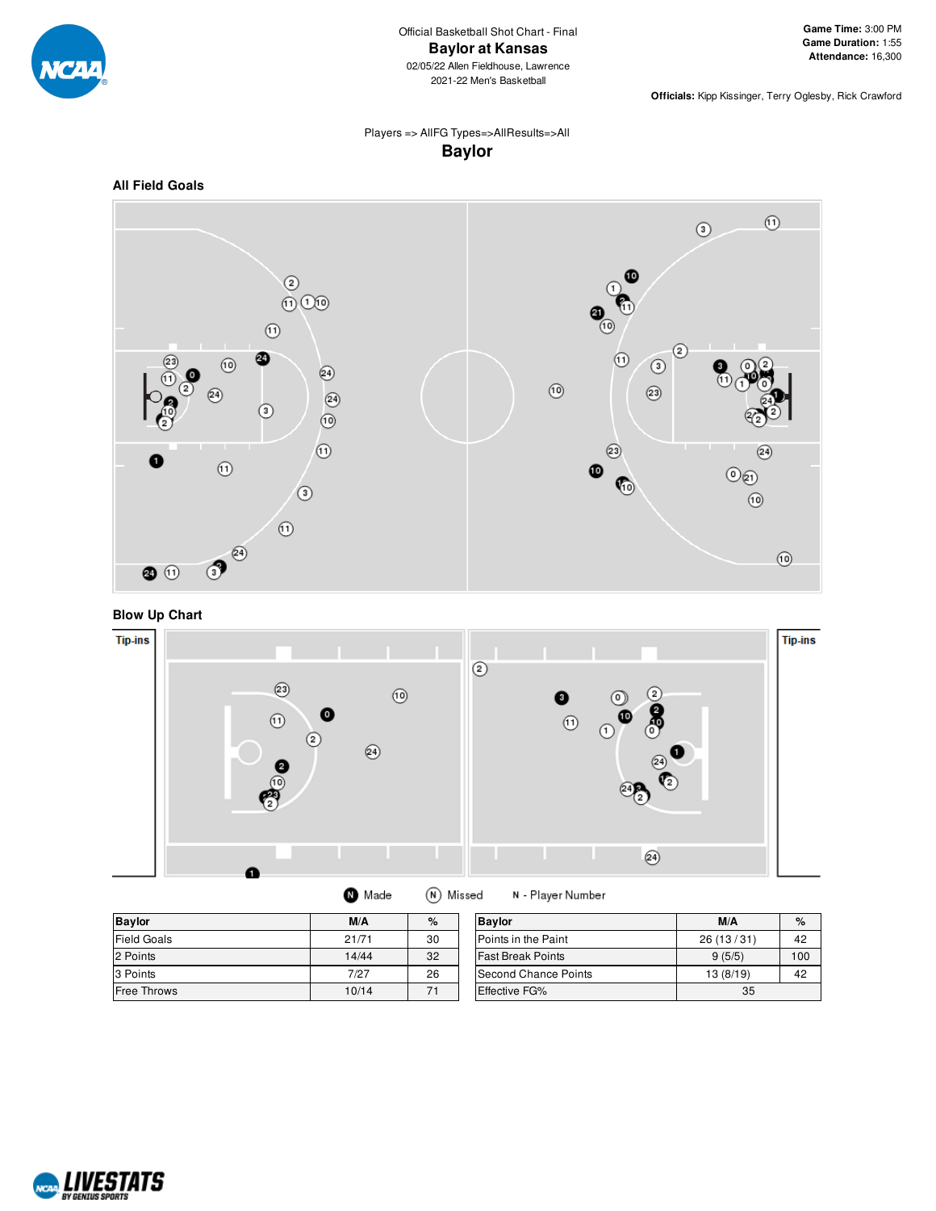

**Officials:** Kipp Kissinger, Terry Oglesby, Rick Crawford

# Players => AllFG Types=>AllResults=>All **Baylor**



**Blow Up Chart**



| <b>Baylor</b>      | M/A   | %  | <b>Bavlor</b>            | M/A       | $\%$ |
|--------------------|-------|----|--------------------------|-----------|------|
| <b>Field Goals</b> | 21/71 | 30 | Points in the Paint      | 26(13/31) | 42   |
| 2 Points           | 14/44 | 32 | <b>Fast Break Points</b> | 9(5/5)    | 100  |
| 3 Points           | 7/27  | 26 | Second Chance Points     | 13(8/19)  | 42   |
| <b>Free Throws</b> | 10/14 |    | <b>Effective FG%</b>     | 35        |      |

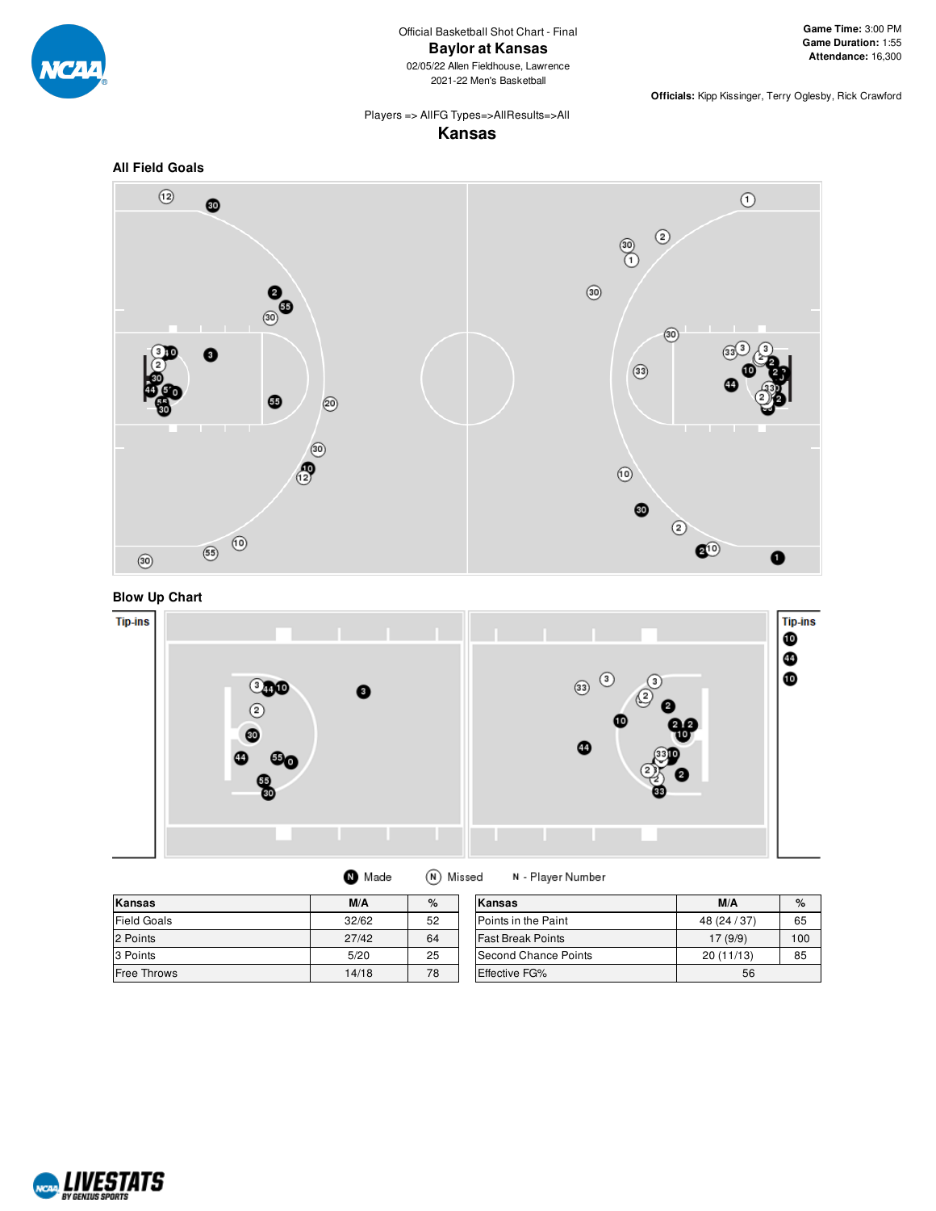

Official Basketball Shot Chart - Final **Baylor at Kansas** 02/05/22 Allen Fieldhouse, Lawrence 2021-22 Men's Basketball

**Game Time:** 3:00 PM **Game Duration:** 1:55 **Attendance:** 16,300

**Officials:** Kipp Kissinger, Terry Oglesby, Rick Crawford

#### Players => AllFG Types=>AllResults=>All **Kansas**









|  | Made |  | (N) Missed | Ν. |
|--|------|--|------------|----|
|--|------|--|------------|----|

**Kansas M/A %** Field Goals 32/62 52 2 Points 27/42 64 3 Points 25 Free Throws 2012 14/18 278 **Kansas M/A %** Points in the Paint 48 (24 / 37) 65 Fast Break Points 17 (9/9) 100 Second Chance Points 20 (11/13) 85 Effective FG% 56

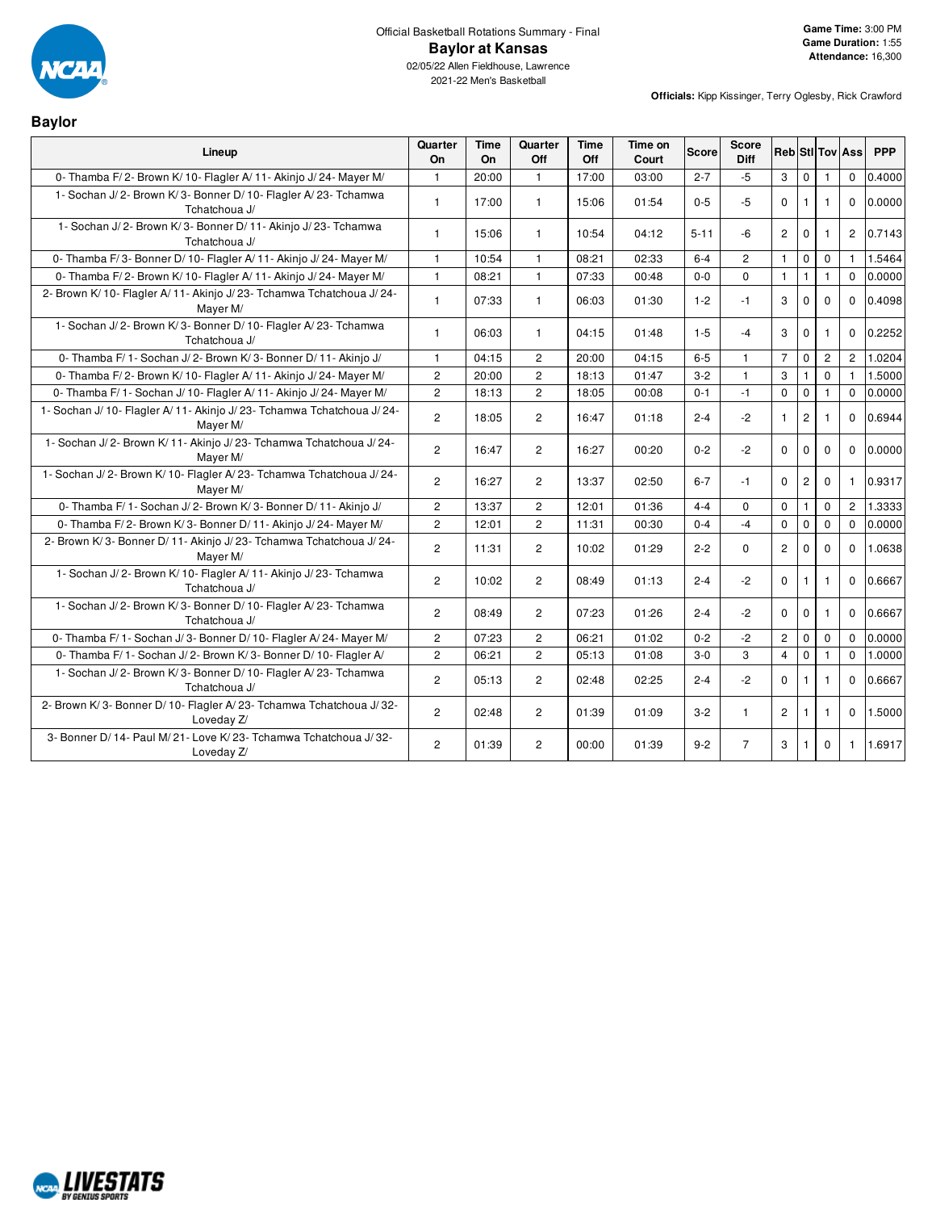

**Baylor**

2021-22 Men's Basketball

| Lineup                                                                              | Quarter<br>On         | <b>Time</b><br>On | Quarter<br>Off | Time<br>Off | Time on<br>Court | <b>Score</b> | <b>Score</b><br><b>Diff</b> |                |                |                | <b>RebiStilToviAss</b> | <b>PPP</b> |
|-------------------------------------------------------------------------------------|-----------------------|-------------------|----------------|-------------|------------------|--------------|-----------------------------|----------------|----------------|----------------|------------------------|------------|
| 0- Thamba F/2- Brown K/10- Flagler A/11- Akinjo J/24- Mayer M/                      | $\mathbf{1}$          | 20:00             | $\mathbf{1}$   | 17:00       | 03:00            | $2 - 7$      | $-5$                        | 3              | $\mathbf 0$    |                | $\mathbf 0$            | 0.4000     |
| 1- Sochan J/2- Brown K/3- Bonner D/10- Flagler A/23- Tchamwa<br>Tchatchoua J/       | $\mathbf{1}$          | 17:00             | $\mathbf{1}$   | 15:06       | 01:54            | $0 - 5$      | $-5$                        | $\Omega$       | $\mathbf{1}$   | 1              | $\Omega$               | 0.0000     |
| 1- Sochan J/2- Brown K/3- Bonner D/11- Akinjo J/23- Tchamwa<br>Tchatchoua J/        | $\mathbf{1}$          | 15:06             | $\mathbf{1}$   | 10:54       | 04:12            | $5 - 11$     | -6                          | $\overline{2}$ | $\mathbf 0$    | 1              | $\overline{c}$         | 0.7143     |
| 0- Thamba F/3- Bonner D/10- Flagler A/11- Akinjo J/24- Mayer M/                     | $\mathbf{1}$          | 10:54             | $\mathbf{1}$   | 08:21       | 02:33            | $6 - 4$      | $\overline{2}$              | $\mathbf{1}$   | $\mathbf 0$    | $\mathbf 0$    | $\mathbf{1}$           | 1.5464     |
| 0- Thamba F/2- Brown K/10- Flagler A/11- Akinjo J/24- Mayer M/                      | $\mathbf{1}$          | 08:21             | $\mathbf{1}$   | 07:33       | 00:48            | $0-0$        | $\Omega$                    | $\mathbf{1}$   | $\mathbf{1}$   | $\mathbf{1}$   | $\mathbf 0$            | 0.0000     |
| 2- Brown K/ 10- Flagler A/ 11- Akinjo J/ 23- Tchamwa Tchatchoua J/ 24-<br>Mayer M/  | $\mathbf{1}$          | 07:33             | $\mathbf{1}$   | 06:03       | 01:30            | $1 - 2$      | $-1$                        | 3              | $\mathbf{0}$   | $\mathbf 0$    | $\mathbf 0$            | 0.4098     |
| 1- Sochan J/2- Brown K/3- Bonner D/10- Flagler A/23- Tchamwa<br>Tchatchoua J/       | $\mathbf{1}$          | 06:03             | $\mathbf{1}$   | 04:15       | 01:48            | $1 - 5$      | $-4$                        | 3              | $\Omega$       | $\mathbf{1}$   | $\Omega$               | 0.2252     |
| 0- Thamba F/ 1- Sochan J/ 2- Brown K/ 3- Bonner D/ 11- Akinjo J/                    | $\mathbf{1}$          | 04:15             | $\overline{c}$ | 20:00       | 04:15            | $6-5$        | $\mathbf{1}$                | $\overline{7}$ | $\mathbf 0$    | $\overline{c}$ | $\overline{c}$         | 1.0204     |
| 0- Thamba F/2- Brown K/10- Flagler A/11- Akinjo J/24- Mayer M/                      | $\overline{2}$        | 20:00             | $\overline{2}$ | 18:13       | 01:47            | $3-2$        | $\mathbf{1}$                | 3              | 1              | $\Omega$       | $\mathbf{1}$           | 1.5000     |
| 0- Thamba F/1- Sochan J/10- Flagler A/11- Akinjo J/24- Mayer M/                     | $\overline{2}$        | 18:13             | $\overline{2}$ | 18:05       | 00:08            | $0 - 1$      | $-1$                        | $\mathbf 0$    | $\mathbf 0$    | $\mathbf{1}$   | $\mathbf 0$            | 0.0000     |
| 1- Sochan J/ 10- Flagler A/ 11- Akinjo J/ 23- Tchamwa Tchatchoua J/ 24-<br>Mayer M/ | $\mathbf{2}^{\prime}$ | 18:05             | $\overline{2}$ | 16:47       | 01:18            | $2 - 4$      | $-2$                        | $\mathbf{1}$   | $\overline{c}$ | 1              | $\mathbf{0}$           | 0.6944     |
| 1- Sochan J/2- Brown K/11- Akinjo J/23- Tchamwa Tchatchoua J/24-<br>Mayer M/        | $\overline{2}$        | 16:47             | $\overline{2}$ | 16:27       | 00:20            | $0 - 2$      | $-2$                        | $\Omega$       | $\mathbf 0$    | $\Omega$       | $\Omega$               | 0.0000     |
| 1- Sochan J/2- Brown K/10- Flagler A/23- Tchamwa Tchatchoua J/24-<br>Mayer M/       | $\overline{2}$        | 16:27             | 2              | 13:37       | 02:50            | $6 - 7$      | $-1$                        | $\Omega$       | $\overline{2}$ | $\Omega$       | $\mathbf{1}$           | 0.9317     |
| 0- Thamba F/ 1- Sochan J/ 2- Brown K/ 3- Bonner D/ 11- Akinjo J/                    | $\overline{2}$        | 13:37             | $\overline{c}$ | 12:01       | 01:36            | $4 - 4$      | $\Omega$                    | $\mathbf 0$    | $\mathbf{1}$   | $\mathbf 0$    | $\overline{2}$         | 1.3333     |
| 0- Thamba F/2- Brown K/3- Bonner D/11- Akinjo J/24- Mayer M/                        | $\overline{2}$        | 12:01             | $\overline{c}$ | 11:31       | 00:30            | $0 - 4$      | $-4$                        | $\Omega$       | $\Omega$       | $\mathbf 0$    | $\Omega$               | 0.0000     |
| 2- Brown K/3- Bonner D/11- Akinjo J/23- Tchamwa Tchatchoua J/24-<br>Mayer M/        | $\overline{2}$        | 11:31             | $\overline{2}$ | 10:02       | 01:29            | $2 - 2$      | $\Omega$                    | $\overline{2}$ | $\mathbf 0$    | $\Omega$       | $\Omega$               | 1.0638     |
| 1- Sochan J/2- Brown K/10- Flagler A/11- Akinjo J/23- Tchamwa<br>Tchatchoua J/      | $\overline{c}$        | 10:02             | 2              | 08:49       | 01:13            | $2 - 4$      | $-2$                        | $\Omega$       | 1              | $\mathbf{1}$   | $\Omega$               | 0.6667     |
| 1- Sochan J/2- Brown K/3- Bonner D/10- Flagler A/23- Tchamwa<br>Tchatchoua J/       | $\overline{2}$        | 08:49             | $\overline{2}$ | 07:23       | 01:26            | $2 - 4$      | $-2$                        | $\Omega$       | $\mathbf 0$    | 1              | $\Omega$               | 0.6667     |
| 0- Thamba F/ 1- Sochan J/ 3- Bonner D/ 10- Flagler A/ 24- Mayer M/                  | $\overline{2}$        | 07:23             | $\overline{2}$ | 06:21       | 01:02            | $0 - 2$      | $-2$                        | $\overline{c}$ | $\mathbf 0$    | $\mathbf 0$    | $\Omega$               | 0.0000     |
| 0- Thamba F/1- Sochan J/2- Brown K/3- Bonner D/10- Flagler A/                       | $\overline{2}$        | 06:21             | $\overline{2}$ | 05:13       | 01:08            | $3-0$        | 3                           | $\overline{4}$ | $\mathbf 0$    | 1              | $\Omega$               | 1.0000     |
| 1- Sochan J/2- Brown K/3- Bonner D/10- Flagler A/23- Tchamwa<br>Tchatchoua J/       | $\overline{2}$        | 05:13             | 2              | 02:48       | 02:25            | $2 - 4$      | $-2$                        | $\Omega$       | $\mathbf{1}$   | 1              | $\Omega$               | 0.6667     |
| 2- Brown K/3- Bonner D/10- Flagler A/23- Tchamwa Tchatchoua J/32-<br>Loveday Z/     | $\overline{2}$        | 02:48             | $\overline{2}$ | 01:39       | 01:09            | $3 - 2$      | $\mathbf{1}$                | $\overline{2}$ | 1              | $\mathbf{1}$   | $\mathbf{0}$           | 1.5000     |
| 3- Bonner D/ 14- Paul M/ 21- Love K/ 23- Tchamwa Tchatchoua J/ 32-<br>Loveday Z/    | $\overline{2}$        | 01:39             | $\overline{c}$ | 00:00       | 01:39            | $9 - 2$      | $\overline{7}$              | 3              | $\mathbf{1}$   | $\mathbf 0$    | $\mathbf{1}$           | 1.6917     |

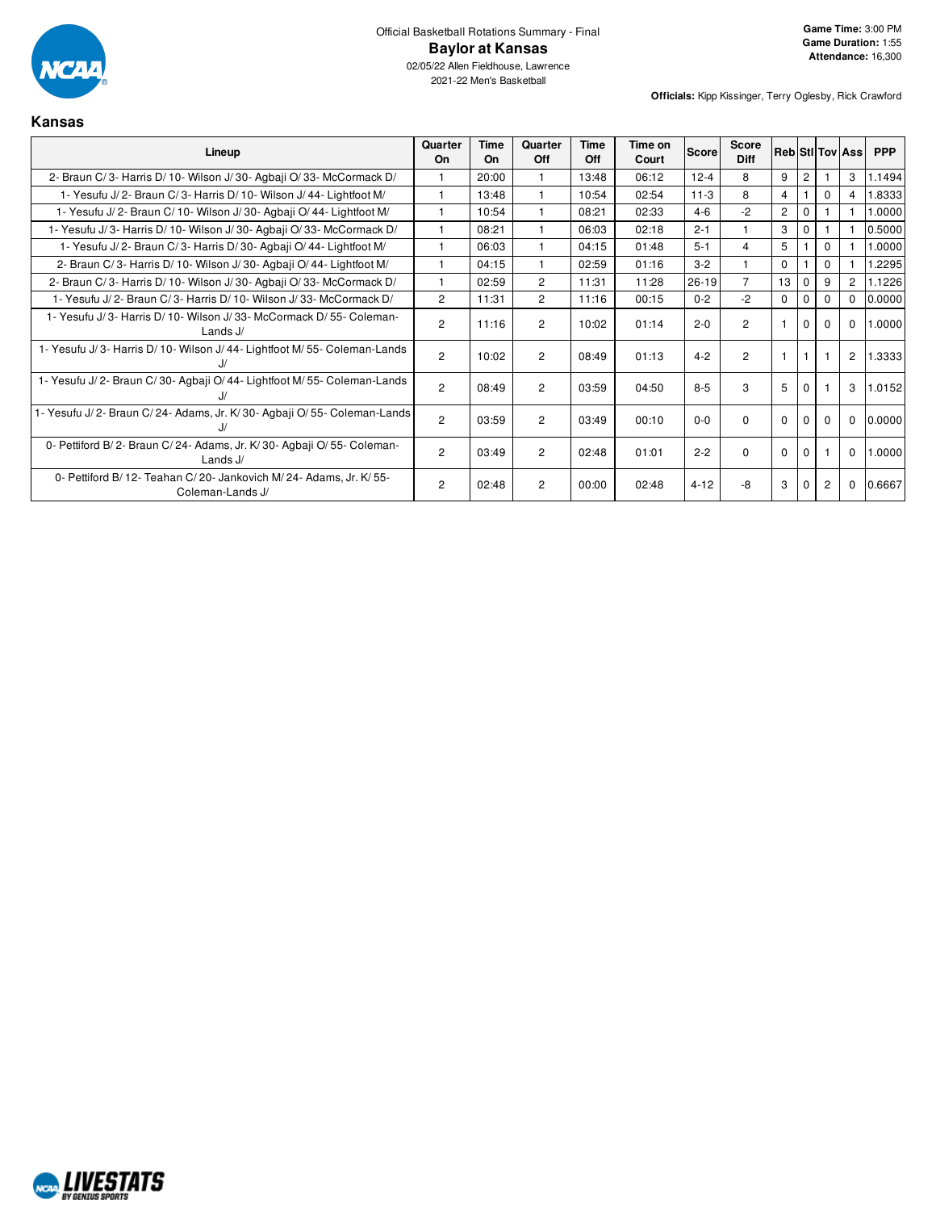

2021-22 Men's Basketball

**Officials:** Kipp Kissinger, Terry Oglesby, Rick Crawford

# **Kansas**

| Lineup                                                                                   | Quarter<br>On  | Time<br>On | Quarter<br>Off | Time<br>Off | Time on<br>Court | Score    | Score<br><b>Diff</b> |                |                |          | <b>Reb StilTov Ass</b> | <b>PPP</b> |
|------------------------------------------------------------------------------------------|----------------|------------|----------------|-------------|------------------|----------|----------------------|----------------|----------------|----------|------------------------|------------|
| 2- Braun C/3- Harris D/10- Wilson J/30- Agbaji O/33- McCormack D/                        |                | 20:00      |                | 13:48       | 06:12            | $12 - 4$ | 8                    | 9              | $\overline{2}$ |          | 3                      | 1.1494     |
| 1- Yesufu J/2- Braun C/3- Harris D/10- Wilson J/44- Lightfoot M/                         |                | 13:48      |                | 10:54       | 02:54            | $11-3$   | 8                    | $\overline{4}$ |                | 0        | 4                      | 8333       |
| 1- Yesufu J/2- Braun C/10- Wilson J/30- Agbaii O/44- Lightfoot M/                        |                | 10:54      |                | 08:21       | 02:33            | $4 - 6$  | $-2$                 | $\overline{2}$ | $\mathbf 0$    |          |                        | 1.0000     |
| 1- Yesufu J/3- Harris D/10- Wilson J/30- Agbaji O/33- McCormack D/                       |                | 08:21      |                | 06:03       | 02:18            | $2 - 1$  |                      | 3              | $\Omega$       |          |                        | 0.5000     |
| 1- Yesufu J/2- Braun C/3- Harris D/30- Agbaji O/44- Lightfoot M/                         |                | 06:03      |                | 04:15       | 01:48            | $5 - 1$  | 4                    | 5              |                | $\Omega$ |                        | 1.0000     |
| 2- Braun C/3- Harris D/10- Wilson J/30- Agbaji O/44- Lightfoot M/                        |                | 04:15      |                | 02:59       | 01:16            | $3-2$    |                      | $\mathbf 0$    |                | $\Omega$ |                        | .2295      |
| 2- Braun C/3- Harris D/10- Wilson J/30- Agbaji O/33- McCormack D/                        |                | 02:59      | $\overline{2}$ | 11:31       | 11:28            | $26-19$  | $\overline{7}$       | 13             | $\Omega$       | 9        | $\overline{2}$         | 1.1226     |
| 1- Yesufu J/2- Braun C/3- Harris D/10- Wilson J/33- McCormack D/                         | $\overline{2}$ | 11:31      | $\overline{2}$ | 11:16       | 00:15            | $0 - 2$  | $-2$                 | $\Omega$       | $\Omega$       |          | $\Omega$               | 0.0000     |
| 1- Yesufu J/3- Harris D/10- Wilson J/33- McCormack D/55- Coleman-<br>Lands J/            | $\overline{2}$ | 11:16      | $\overline{2}$ | 10:02       | 01:14            | $2 - 0$  | $\overline{2}$       |                | $\Omega$       | 0        | $\Omega$               | 1.0000     |
| 1- Yesufu J/3- Harris D/10- Wilson J/44- Lightfoot M/55- Coleman-Lands                   | $\overline{2}$ | 10:02      | $\overline{2}$ | 08:49       | 01:13            | $4 - 2$  | $\overline{c}$       |                |                |          | 2                      | 1.3333     |
| 1- Yesufu J/2- Braun C/30- Agbaji O/44- Lightfoot M/55- Coleman-Lands                    | $\overline{2}$ | 08:49      | $\overline{2}$ | 03:59       | 04:50            | $8 - 5$  | 3                    | 5              | $\Omega$       |          | 3                      | 1.0152     |
| 1- Yesufu J/2- Braun C/24- Adams, Jr. K/30- Agbaji O/55- Coleman-Lands                   | $\overline{2}$ | 03:59      | $\overline{2}$ | 03:49       | 00:10            | $0 - 0$  | $\Omega$             | $\Omega$       | $\Omega$       | $\Omega$ | $\mathbf 0$            | 0.0000     |
| 0- Pettiford B/2- Braun C/24- Adams, Jr. K/30- Agbaii O/55- Coleman-<br>Lands $J/$       | $\overline{2}$ | 03:49      | $\overline{2}$ | 02:48       | 01:01            | $2 - 2$  | $\Omega$             | $\mathbf 0$    | $\Omega$       |          | $\mathbf 0$            | 1.0000     |
| 0- Pettiford B/ 12- Teahan C/ 20- Jankovich M/ 24- Adams, Jr. K/ 55-<br>Coleman-Lands J/ | $\overline{2}$ | 02:48      | $\overline{2}$ | 00:00       | 02:48            | $4 - 12$ | -8                   | 3              |                | 2        | $\mathbf 0$            | 0.6667     |

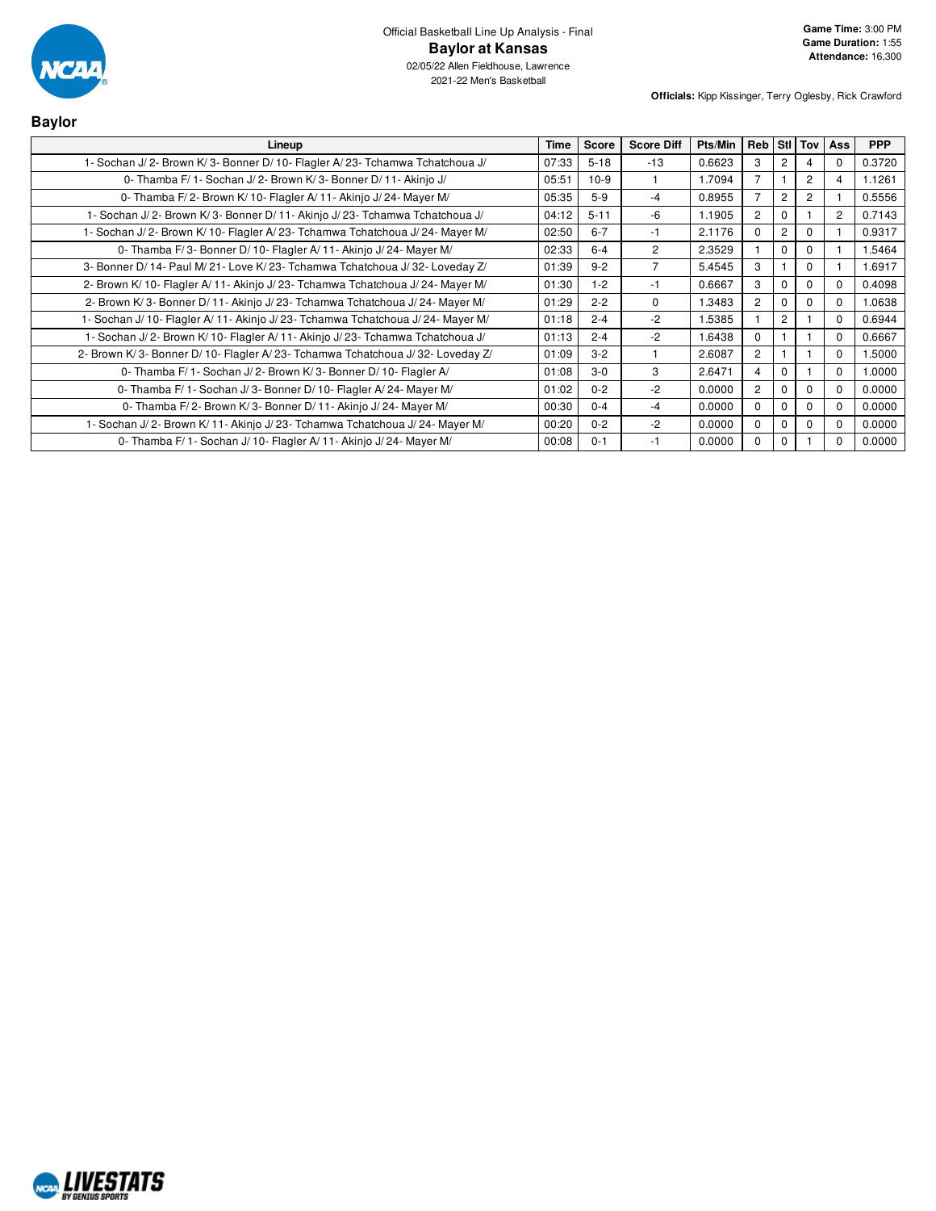

| <b>Baylor</b>                                                                    |             |              |                   |         |                |                |                |            |            |
|----------------------------------------------------------------------------------|-------------|--------------|-------------------|---------|----------------|----------------|----------------|------------|------------|
| Lineup                                                                           | <b>Time</b> | <b>Score</b> | <b>Score Diff</b> | Pts/Min | Reb            |                | Stl Tov        | <b>Ass</b> | <b>PPP</b> |
| 1- Sochan J/2- Brown K/3- Bonner D/10- Flagler A/23- Tchamwa Tchatchoua J/       | 07:33       | $5 - 18$     | $-13$             | 0.6623  | 3              | $\overline{2}$ | 4              | 0          | 0.3720     |
| 0- Thamba F/ 1 - Sochan J/ 2 - Brown K/ 3 - Bonner D/ 11 - Akinjo J/             | 05:51       | $10-9$       |                   | 1.7094  | 7              |                | $\overline{c}$ | 4          | 1.1261     |
| 0- Thamba F/2- Brown K/10- Flagler A/11- Akinjo J/24- Mayer M/                   | 05:35       | $5-9$        | $-4$              | 0.8955  | $\overline{7}$ | $\overline{2}$ | $\overline{c}$ |            | 0.5556     |
| 1- Sochan J/2- Brown K/3- Bonner D/11- Akinjo J/23- Tchamwa Tchatchoua J/        | 04:12       | $5 - 11$     | $-6$              | 1.1905  | 2              | $\Omega$       |                | 2          | 0.7143     |
| 1- Sochan J/2- Brown K/10- Flagler A/23- Tchamwa Tchatchoua J/24- Mayer M/       | 02:50       | $6 - 7$      | $-1$              | 2.1176  | $\Omega$       | $\overline{2}$ | $\Omega$       |            | 0.9317     |
| 0- Thamba F/3- Bonner D/10- Flagler A/11- Akinjo J/24- Mayer M/                  | 02:33       | $6 - 4$      | 2                 | 2.3529  |                | $\mathbf 0$    | 0              |            | 1.5464     |
| 3- Bonner D/ 14- Paul M/ 21- Love K/ 23- Tchamwa Tchatchoua J/ 32- Loveday Z/    | 01:39       | $9 - 2$      | $\overline{7}$    | 5.4545  | 3              |                | $\mathbf 0$    |            | 1.6917     |
| 2- Brown K/10- Flagler A/11- Akinjo J/23- Tchamwa Tchatchoua J/24- Mayer M/      | 01:30       | $1 - 2$      | $-1$              | 0.6667  | 3              | $\Omega$       | $\Omega$       | $\Omega$   | 0.4098     |
| 2- Brown K/3- Bonner D/11- Akinjo J/23- Tchamwa Tchatchoua J/24- Mayer M/        | 01:29       | $2 - 2$      | 0                 | 1.3483  | $\overline{2}$ | $\Omega$       | $\Omega$       | $\Omega$   | 1.0638     |
| 1- Sochan J/ 10- Flagler A/ 11- Akinjo J/ 23- Tchamwa Tchatchoua J/ 24- Mayer M/ | 01:18       | $2 - 4$      | $-2$              | 1.5385  |                | $\overline{2}$ |                | $\Omega$   | 0.6944     |
| 1- Sochan J/2- Brown K/10- Flagler A/11- Akinjo J/23- Tchamwa Tchatchoua J/      | 01:13       | $2 - 4$      | $-2$              | 1.6438  | $\Omega$       |                |                | $\Omega$   | 0.6667     |
| 2- Brown K/3- Bonner D/10- Flagler A/23- Tchamwa Tchatchoua J/32- Loveday Z/     | 01:09       | $3 - 2$      |                   | 2.6087  | $\overline{2}$ |                |                | $\Omega$   | 1.5000     |
| 0- Thamba F/ 1- Sochan J/ 2- Brown K/ 3- Bonner D/ 10- Flagler A/                | 01:08       | $3-0$        | 3                 | 2.6471  | 4              | $\Omega$       |                | $\Omega$   | 1.0000     |
| 0- Thamba F/ 1- Sochan J/ 3- Bonner D/ 10- Flagler A/ 24- Mayer M/               | 01:02       | $0 - 2$      | $-2$              | 0.0000  | $\overline{c}$ | $\Omega$       | $\Omega$       | $\Omega$   | 0.0000     |
| 0- Thamba F/2- Brown K/3- Bonner D/11- Akinjo J/24- Mayer M/                     | 00:30       | $0 - 4$      | $-4$              | 0.0000  | $\Omega$       | $\Omega$       | $\Omega$       | $\Omega$   | 0.0000     |
| 1- Sochan J/2- Brown K/11- Akinjo J/23- Tchamwa Tchatchoua J/24- Mayer M/        | 00:20       | $0 - 2$      | $-2$              | 0.0000  | $\Omega$       | $\Omega$       | $\Omega$       | $\Omega$   | 0.0000     |
| 0- Thamba F/ 1- Sochan J/ 10- Flagler A/ 11- Akinjo J/ 24- Mayer M/              | 00:08       | $0 - 1$      | $-1$              | 0.0000  | $\Omega$       | $\Omega$       |                | 0          | 0.0000     |